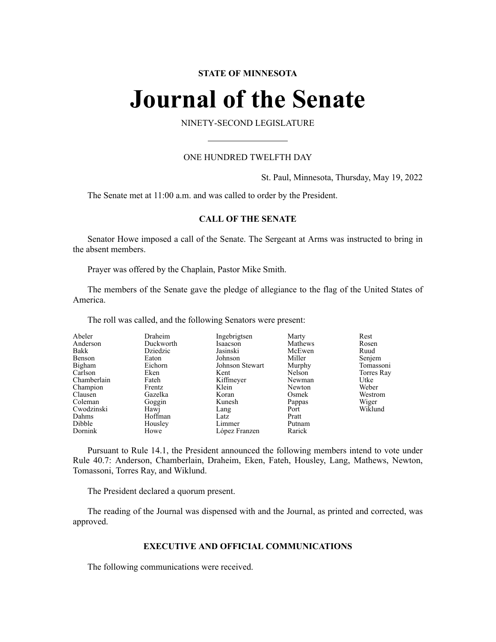# **STATE OF MINNESOTA**

# **Journal of the Senate**

NINETY-SECOND LEGISLATURE

# ONE HUNDRED TWELFTH DAY

St. Paul, Minnesota, Thursday, May 19, 2022

The Senate met at 11:00 a.m. and was called to order by the President.

# **CALL OF THE SENATE**

Senator Howe imposed a call of the Senate. The Sergeant at Arms was instructed to bring in the absent members.

Prayer was offered by the Chaplain, Pastor Mike Smith.

The members of the Senate gave the pledge of allegiance to the flag of the United States of America.

The roll was called, and the following Senators were present:

| Abeler      | Draheim   | Ingebrigtsen    | Marty   | Rest       |
|-------------|-----------|-----------------|---------|------------|
| Anderson    | Duckworth | Isaacson        | Mathews | Rosen      |
| Bakk        | Dziedzic  | Jasinski        | McEwen  | Ruud       |
| Benson      | Eaton     | Johnson         | Miller  | Senjem     |
| Bigham      | Eichorn   | Johnson Stewart | Murphy  | Tomassoni  |
| Carlson     | Eken      | Kent            | Nelson  | Torres Ray |
| Chamberlain | Fateh     | Kiffmeyer       | Newman  | Utke       |
| Champion    | Frentz    | Klein           | Newton  | Weber      |
| Clausen     | Gazelka   | Koran           | Osmek   | Westrom    |
| Coleman     | Goggin    | Kunesh          | Pappas  | Wiger      |
| Cwodzinski  | Hawj      | Lang            | Port    | Wiklund    |
| Dahms       | Hoffman   | Latz            | Pratt   |            |
| Dibble      | Housley   | Limmer          | Putnam  |            |
| Dornink     | Howe      | López Franzen   | Rarick  |            |

Pursuant to Rule 14.1, the President announced the following members intend to vote under Rule 40.7: Anderson, Chamberlain, Draheim, Eken, Fateh, Housley, Lang, Mathews, Newton, Tomassoni, Torres Ray, and Wiklund.

The President declared a quorum present.

The reading of the Journal was dispensed with and the Journal, as printed and corrected, was approved.

# **EXECUTIVE AND OFFICIAL COMMUNICATIONS**

The following communications were received.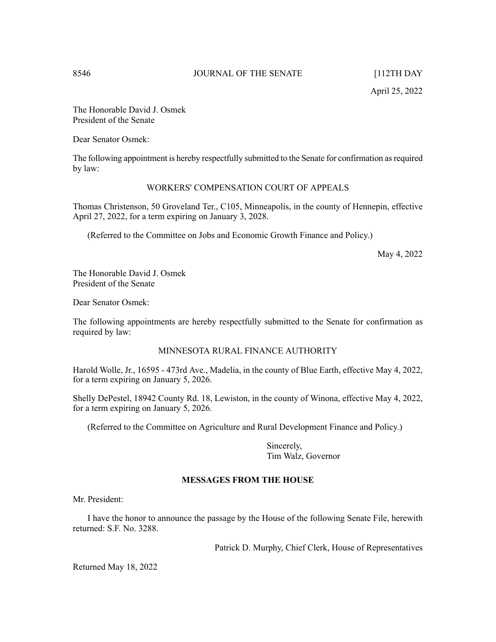The Honorable David J. Osmek President of the Senate

Dear Senator Osmek:

The following appointment is hereby respectfully submitted to the Senate for confirmation asrequired by law:

# WORKERS' COMPENSATION COURT OF APPEALS

Thomas Christenson, 50 Groveland Ter., C105, Minneapolis, in the county of Hennepin, effective April 27, 2022, for a term expiring on January 3, 2028.

(Referred to the Committee on Jobs and Economic Growth Finance and Policy.)

May 4, 2022

The Honorable David J. Osmek President of the Senate

Dear Senator Osmek:

The following appointments are hereby respectfully submitted to the Senate for confirmation as required by law:

# MINNESOTA RURAL FINANCE AUTHORITY

Harold Wolle, Jr., 16595 - 473rd Ave., Madelia, in the county of Blue Earth, effective May 4, 2022, for a term expiring on January 5, 2026.

Shelly DePestel, 18942 County Rd. 18, Lewiston, in the county of Winona, effective May 4, 2022, for a term expiring on January 5, 2026.

(Referred to the Committee on Agriculture and Rural Development Finance and Policy.)

Sincerely, Tim Walz, Governor

# **MESSAGES FROM THE HOUSE**

Mr. President:

I have the honor to announce the passage by the House of the following Senate File, herewith returned: S.F. No. 3288.

Patrick D. Murphy, Chief Clerk, House of Representatives

Returned May 18, 2022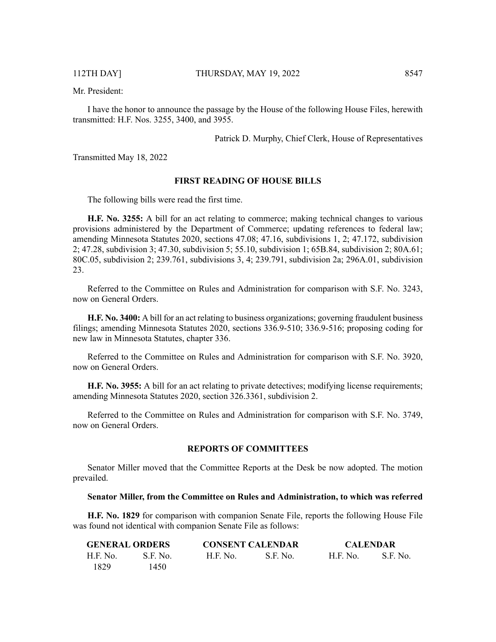Mr. President:

I have the honor to announce the passage by the House of the following House Files, herewith transmitted: H.F. Nos. 3255, 3400, and 3955.

Patrick D. Murphy, Chief Clerk, House of Representatives

Transmitted May 18, 2022

#### **FIRST READING OF HOUSE BILLS**

The following bills were read the first time.

**H.F. No. 3255:** A bill for an act relating to commerce; making technical changes to various provisions administered by the Department of Commerce; updating references to federal law; amending Minnesota Statutes 2020, sections 47.08; 47.16, subdivisions 1, 2; 47.172, subdivision 2; 47.28, subdivision 3; 47.30, subdivision 5; 55.10, subdivision 1; 65B.84, subdivision 2; 80A.61; 80C.05, subdivision 2; 239.761, subdivisions 3, 4; 239.791, subdivision 2a; 296A.01, subdivision 23.

Referred to the Committee on Rules and Administration for comparison with S.F. No. 3243, now on General Orders.

**H.F. No. 3400:** A bill for an act relating to business organizations; governing fraudulent business filings; amending Minnesota Statutes 2020, sections 336.9-510; 336.9-516; proposing coding for new law in Minnesota Statutes, chapter 336.

Referred to the Committee on Rules and Administration for comparison with S.F. No. 3920, now on General Orders.

**H.F. No. 3955:** A bill for an act relating to private detectives; modifying license requirements; amending Minnesota Statutes 2020, section 326.3361, subdivision 2.

Referred to the Committee on Rules and Administration for comparison with S.F. No. 3749, now on General Orders.

# **REPORTS OF COMMITTEES**

Senator Miller moved that the Committee Reports at the Desk be now adopted. The motion prevailed.

#### **Senator Miller, from the Committee on Rules and Administration, to which was referred**

**H.F. No. 1829** for comparison with companion Senate File, reports the following House File was found not identical with companion Senate File as follows:

| <b>GENERAL ORDERS</b> |          | <b>CONSENT CALENDAR</b> |          | <b>CALENDAR</b> |          |
|-----------------------|----------|-------------------------|----------|-----------------|----------|
| H.F. No.              | S.F. No. | H.F. No.                | S.F. No. | <b>H.F. No.</b> | S.F. No. |
| 1829                  | 1450.    |                         |          |                 |          |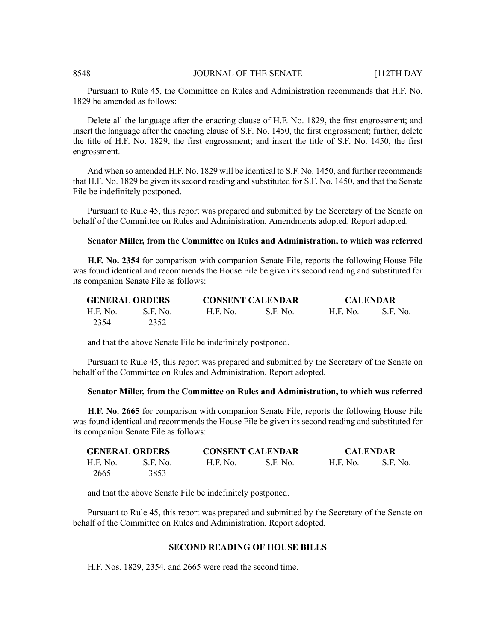### 8548 **JOURNAL OF THE SENATE** [112TH DAY

Pursuant to Rule 45, the Committee on Rules and Administration recommends that H.F. No. 1829 be amended as follows:

Delete all the language after the enacting clause of H.F. No. 1829, the first engrossment; and insert the language after the enacting clause of S.F. No. 1450, the first engrossment; further, delete the title of H.F. No. 1829, the first engrossment; and insert the title of S.F. No. 1450, the first engrossment.

And when so amended H.F. No. 1829 will be identical to S.F. No. 1450, and further recommends that H.F. No. 1829 be given its second reading and substituted for S.F. No. 1450, and that the Senate File be indefinitely postponed.

Pursuant to Rule 45, this report was prepared and submitted by the Secretary of the Senate on behalf of the Committee on Rules and Administration. Amendments adopted. Report adopted.

# **Senator Miller, from the Committee on Rules and Administration, to which was referred**

**H.F. No. 2354** for comparison with companion Senate File, reports the following House File was found identical and recommends the House File be given its second reading and substituted for its companion Senate File as follows:

| <b>GENERAL ORDERS</b> |          | <b>CONSENT CALENDAR</b> |                 | <b>CALENDAR</b> |          |
|-----------------------|----------|-------------------------|-----------------|-----------------|----------|
| H.F. No.              | S.F. No. | H.F. No.                | <b>S.F. No.</b> | <b>H.F. No.</b> | S.F. No. |
| 2354                  | 2352     |                         |                 |                 |          |

and that the above Senate File be indefinitely postponed.

Pursuant to Rule 45, this report was prepared and submitted by the Secretary of the Senate on behalf of the Committee on Rules and Administration. Report adopted.

#### **Senator Miller, from the Committee on Rules and Administration, to which was referred**

**H.F. No. 2665** for comparison with companion Senate File, reports the following House File was found identical and recommends the House File be given its second reading and substituted for its companion Senate File as follows:

| <b>GENERAL ORDERS</b> |          | <b>CONSENT CALENDAR</b> |            | <b>CALENDAR</b> |          |
|-----------------------|----------|-------------------------|------------|-----------------|----------|
| H.F. No.              | S.F. No. | H.F. No.                | - S.F. No. | H.F. No.        | S.F. No. |
| 2665                  | 3853     |                         |            |                 |          |

and that the above Senate File be indefinitely postponed.

Pursuant to Rule 45, this report was prepared and submitted by the Secretary of the Senate on behalf of the Committee on Rules and Administration. Report adopted.

### **SECOND READING OF HOUSE BILLS**

H.F. Nos. 1829, 2354, and 2665 were read the second time.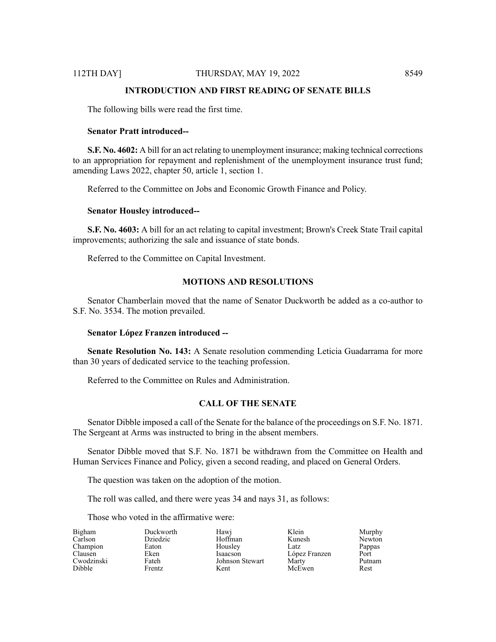# **INTRODUCTION AND FIRST READING OF SENATE BILLS**

The following bills were read the first time.

#### **Senator Pratt introduced--**

**S.F. No. 4602:** A bill for an act relating to unemployment insurance; making technical corrections to an appropriation for repayment and replenishment of the unemployment insurance trust fund; amending Laws 2022, chapter 50, article 1, section 1.

Referred to the Committee on Jobs and Economic Growth Finance and Policy.

#### **Senator Housley introduced--**

**S.F. No. 4603:** A bill for an act relating to capital investment; Brown's Creek State Trail capital improvements; authorizing the sale and issuance of state bonds.

Referred to the Committee on Capital Investment.

# **MOTIONS AND RESOLUTIONS**

Senator Chamberlain moved that the name of Senator Duckworth be added as a co-author to S.F. No. 3534. The motion prevailed.

#### **Senator López Franzen introduced --**

**Senate Resolution No. 143:** A Senate resolution commending Leticia Guadarrama for more than 30 years of dedicated service to the teaching profession.

Referred to the Committee on Rules and Administration.

# **CALL OF THE SENATE**

Senator Dibble imposed a call of the Senate for the balance of the proceedings on S.F. No. 1871. The Sergeant at Arms was instructed to bring in the absent members.

Senator Dibble moved that S.F. No. 1871 be withdrawn from the Committee on Health and Human Services Finance and Policy, given a second reading, and placed on General Orders.

The question was taken on the adoption of the motion.

The roll was called, and there were yeas 34 and nays 31, as follows:

Those who voted in the affirmative were:

| Bigham     | Duckworth | Hawj            | Klein         | Murphy |
|------------|-----------|-----------------|---------------|--------|
| Carlson    | Dziedzic  | Hoffman         | Kunesh        | Newton |
| Champion   | Eaton     | Housley         | Latz          | Pappas |
| Clausen    | Eken      | Isaacson        | López Franzen | Port   |
| Cwodzinski | Fateh     | Johnson Stewart | Marty         | Putnam |
| Dibble     | Frentz    | Kent            | McEwen        | Rest   |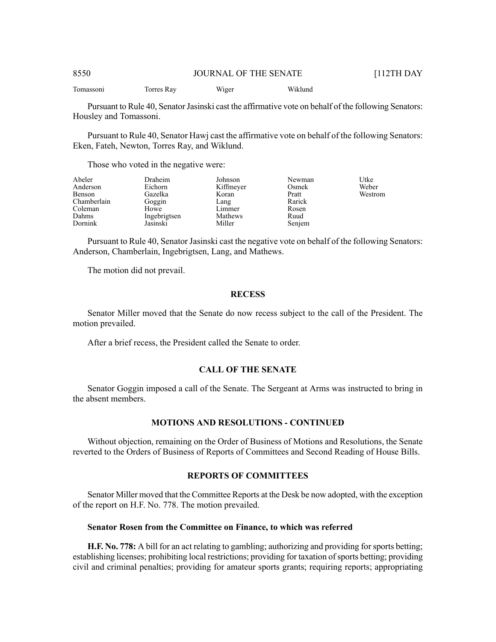Tomassoni Torres Ray Wiger Wiklund

Pursuant to Rule 40, Senator Jasinski cast the affirmative vote on behalf of the following Senators: Housley and Tomassoni.

Pursuant to Rule 40, Senator Hawj cast the affirmative vote on behalf of the following Senators: Eken, Fateh, Newton, Torres Ray, and Wiklund.

Those who voted in the negative were:

| Abeler<br>Anderson | <b>Draheim</b><br>Eichorn | Johnson<br>Kiffmeyer | Newman<br>Osmek | Utke<br>Weber |
|--------------------|---------------------------|----------------------|-----------------|---------------|
| Benson             | Gazelka                   | Koran                | Pratt           | Westrom       |
| Chamberlain        | Goggin                    | Lang                 | Rarick          |               |
| Coleman            | Howe                      | Limmer               | Rosen           |               |
| Dahms              | Ingebrigtsen              | Mathews              | Ruud            |               |
| Dornink            | Jasinski                  | Miller               | Senjem          |               |

Pursuant to Rule 40, Senator Jasinski cast the negative vote on behalf of the following Senators: Anderson, Chamberlain, Ingebrigtsen, Lang, and Mathews.

The motion did not prevail.

# **RECESS**

Senator Miller moved that the Senate do now recess subject to the call of the President. The motion prevailed.

After a brief recess, the President called the Senate to order.

# **CALL OF THE SENATE**

Senator Goggin imposed a call of the Senate. The Sergeant at Arms was instructed to bring in the absent members.

#### **MOTIONS AND RESOLUTIONS - CONTINUED**

Without objection, remaining on the Order of Business of Motions and Resolutions, the Senate reverted to the Orders of Business of Reports of Committees and Second Reading of House Bills.

#### **REPORTS OF COMMITTEES**

Senator Miller moved that the Committee Reports at the Desk be now adopted, with the exception of the report on H.F. No. 778. The motion prevailed.

# **Senator Rosen from the Committee on Finance, to which was referred**

**H.F. No. 778:** A bill for an act relating to gambling; authorizing and providing forsports betting; establishing licenses; prohibiting local restrictions; providing for taxation of sports betting; providing civil and criminal penalties; providing for amateur sports grants; requiring reports; appropriating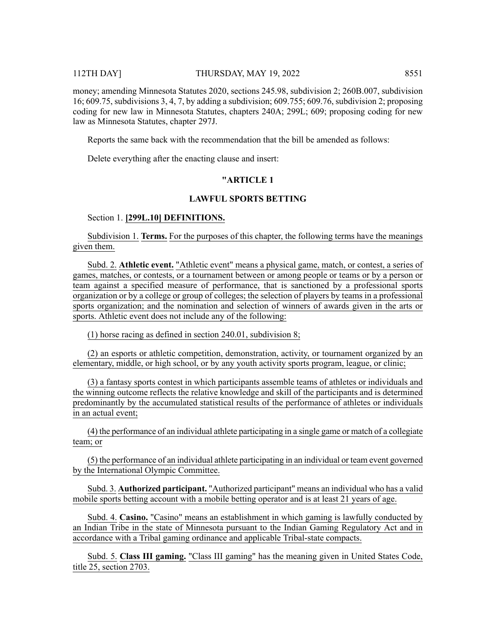### 112TH DAY] THURSDAY, MAY 19, 2022 8551

money; amending Minnesota Statutes 2020, sections 245.98, subdivision 2; 260B.007, subdivision 16; 609.75, subdivisions 3, 4, 7, by adding a subdivision; 609.755; 609.76, subdivision 2; proposing coding for new law in Minnesota Statutes, chapters 240A; 299L; 609; proposing coding for new law as Minnesota Statutes, chapter 297J.

Reports the same back with the recommendation that the bill be amended as follows:

Delete everything after the enacting clause and insert:

# **"ARTICLE 1**

# **LAWFUL SPORTS BETTING**

# Section 1. **[299L.10] DEFINITIONS.**

Subdivision 1. **Terms.** For the purposes of this chapter, the following terms have the meanings given them.

Subd. 2. **Athletic event.** "Athletic event" means a physical game, match, or contest, a series of games, matches, or contests, or a tournament between or among people or teams or by a person or team against a specified measure of performance, that is sanctioned by a professional sports organization or by a college or group of colleges; the selection of players by teams in a professional sports organization; and the nomination and selection of winners of awards given in the arts or sports. Athletic event does not include any of the following:

(1) horse racing as defined in section 240.01, subdivision 8;

(2) an esports or athletic competition, demonstration, activity, or tournament organized by an elementary, middle, or high school, or by any youth activity sports program, league, or clinic;

(3) a fantasy sports contest in which participants assemble teams of athletes or individuals and the winning outcome reflects the relative knowledge and skill of the participants and is determined predominantly by the accumulated statistical results of the performance of athletes or individuals in an actual event;

(4) the performance of an individual athlete participating in a single game or match of a collegiate team; or

(5) the performance of an individual athlete participating in an individual or team event governed by the International Olympic Committee.

Subd. 3. **Authorized participant.** "Authorized participant" means an individual who has a valid mobile sports betting account with a mobile betting operator and is at least 21 years of age.

Subd. 4. **Casino.** "Casino" means an establishment in which gaming is lawfully conducted by an Indian Tribe in the state of Minnesota pursuant to the Indian Gaming Regulatory Act and in accordance with a Tribal gaming ordinance and applicable Tribal-state compacts.

Subd. 5. **Class III gaming.** "Class III gaming" has the meaning given in United States Code, title  $25$ , section 2703.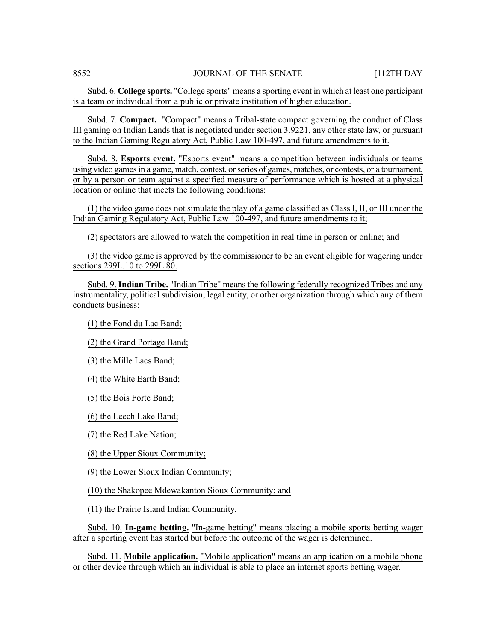Subd. 6. **College sports.** "College sports" means a sporting event in which at least one participant is a team or individual from a public or private institution of higher education.

Subd. 7. **Compact.** "Compact" means a Tribal-state compact governing the conduct of Class III gaming on Indian Lands that is negotiated under section 3.9221, any other state law, or pursuant to the Indian Gaming Regulatory Act, Public Law 100-497, and future amendments to it.

Subd. 8. **Esports event.** "Esports event" means a competition between individuals or teams using video games in a game, match, contest, or series of games, matches, or contests, or a tournament, or by a person or team against a specified measure of performance which is hosted at a physical location or online that meets the following conditions:

(1) the video game does not simulate the play of a game classified as Class I, II, or III under the Indian Gaming Regulatory Act, Public Law 100-497, and future amendments to it;

(2) spectators are allowed to watch the competition in real time in person or online; and

(3) the video game is approved by the commissioner to be an event eligible for wagering under sections 299L.10 to 299L.80.

Subd. 9. **Indian Tribe.** "Indian Tribe" means the following federally recognized Tribes and any instrumentality, political subdivision, legal entity, or other organization through which any of them conducts business:

(1) the Fond du Lac Band;

(2) the Grand Portage Band;

(3) the Mille Lacs Band;

(4) the White Earth Band;

(5) the Bois Forte Band;

(6) the Leech Lake Band;

(7) the Red Lake Nation;

(8) the Upper Sioux Community;

(9) the Lower Sioux Indian Community;

(10) the Shakopee Mdewakanton Sioux Community; and

(11) the Prairie Island Indian Community.

Subd. 10. **In-game betting.** "In-game betting" means placing a mobile sports betting wager after a sporting event has started but before the outcome of the wager is determined.

Subd. 11. **Mobile application.** "Mobile application" means an application on a mobile phone or other device through which an individual is able to place an internet sports betting wager.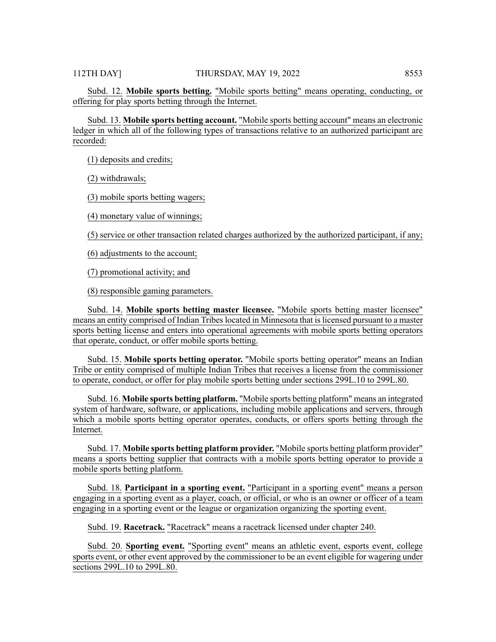Subd. 12. **Mobile sports betting.** "Mobile sports betting" means operating, conducting, or offering for play sports betting through the Internet.

Subd. 13. **Mobile sports betting account.** "Mobile sports betting account" means an electronic ledger in which all of the following types of transactions relative to an authorized participant are recorded:

(1) deposits and credits;

(2) withdrawals;

(3) mobile sports betting wagers;

(4) monetary value of winnings;

(5) service or other transaction related charges authorized by the authorized participant, if any;

(6) adjustments to the account;

(7) promotional activity; and

(8) responsible gaming parameters.

Subd. 14. **Mobile sports betting master licensee.** "Mobile sports betting master licensee" means an entity comprised of Indian Tribeslocated in Minnesota that islicensed pursuant to a master sports betting license and enters into operational agreements with mobile sports betting operators that operate, conduct, or offer mobile sports betting.

Subd. 15. **Mobile sports betting operator.** "Mobile sports betting operator" means an Indian Tribe or entity comprised of multiple Indian Tribes that receives a license from the commissioner to operate, conduct, or offer for play mobile sports betting under sections 299L.10 to 299L.80.

Subd. 16. **Mobile sports betting platform.** "Mobile sports betting platform" means an integrated system of hardware, software, or applications, including mobile applications and servers, through which a mobile sports betting operator operates, conducts, or offers sports betting through the Internet.

Subd. 17. **Mobile sports betting platform provider.** "Mobile sports betting platform provider" means a sports betting supplier that contracts with a mobile sports betting operator to provide a mobile sports betting platform.

Subd. 18. **Participant in a sporting event.** "Participant in a sporting event" means a person engaging in a sporting event as a player, coach, or official, or who is an owner or officer of a team engaging in a sporting event or the league or organization organizing the sporting event.

Subd. 19. **Racetrack.** "Racetrack" means a racetrack licensed under chapter 240.

Subd. 20. **Sporting event.** "Sporting event" means an athletic event, esports event, college sports event, or other event approved by the commissioner to be an event eligible for wagering under sections 299L.10 to 299L.80.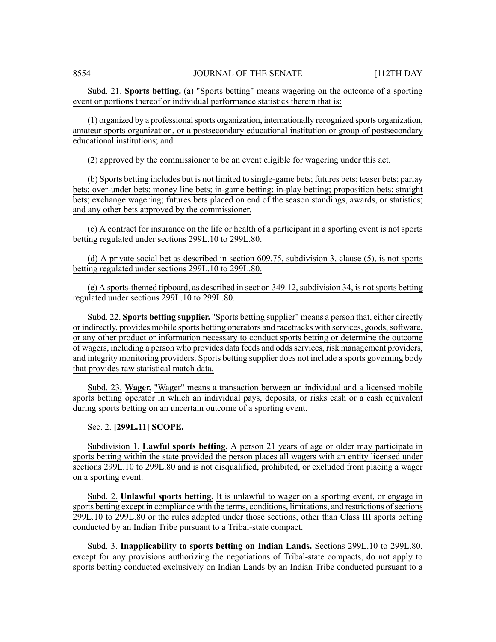Subd. 21. **Sports betting.** (a) "Sports betting" means wagering on the outcome of a sporting event or portions thereof or individual performance statistics therein that is:

(1) organized by a professionalsports organization, internationally recognized sports organization, amateur sports organization, or a postsecondary educational institution or group of postsecondary educational institutions; and

(2) approved by the commissioner to be an event eligible for wagering under this act.

(b) Sports betting includes but is not limited to single-game bets; futures bets; teaser bets; parlay bets; over-under bets; money line bets; in-game betting; in-play betting; proposition bets; straight bets; exchange wagering; futures bets placed on end of the season standings, awards, or statistics; and any other bets approved by the commissioner.

(c) A contract for insurance on the life or health of a participant in a sporting event is not sports betting regulated under sections 299L.10 to 299L.80.

(d) A private social bet as described in section 609.75, subdivision 3, clause (5), is not sports betting regulated under sections 299L.10 to 299L.80.

 $(e)$  A sports-themed tipboard, as described in section 349.12, subdivision 34, is not sports betting regulated under sections 299L.10 to 299L.80.

Subd. 22. **Sports betting supplier.** "Sports betting supplier" means a person that, either directly or indirectly, provides mobile sports betting operators and racetracks with services, goods,software, or any other product or information necessary to conduct sports betting or determine the outcome of wagers, including a person who provides data feeds and odds services, risk management providers, and integrity monitoring providers. Sports betting supplier does not include a sports governing body that provides raw statistical match data.

Subd. 23. **Wager.** "Wager" means a transaction between an individual and a licensed mobile sports betting operator in which an individual pays, deposits, or risks cash or a cash equivalent during sports betting on an uncertain outcome of a sporting event.

# Sec. 2. **[299L.11] SCOPE.**

Subdivision 1. **Lawful sports betting.** A person 21 years of age or older may participate in sports betting within the state provided the person places all wagers with an entity licensed under sections 299L.10 to 299L.80 and is not disqualified, prohibited, or excluded from placing a wager on a sporting event.

Subd. 2. **Unlawful sports betting.** It is unlawful to wager on a sporting event, or engage in sports betting except in compliance with the terms, conditions, limitations, and restrictions of sections 299L.10 to 299L.80 or the rules adopted under those sections, other than Class III sports betting conducted by an Indian Tribe pursuant to a Tribal-state compact.

Subd. 3. **Inapplicability to sports betting on Indian Lands.** Sections 299L.10 to 299L.80, except for any provisions authorizing the negotiations of Tribal-state compacts, do not apply to sports betting conducted exclusively on Indian Lands by an Indian Tribe conducted pursuant to a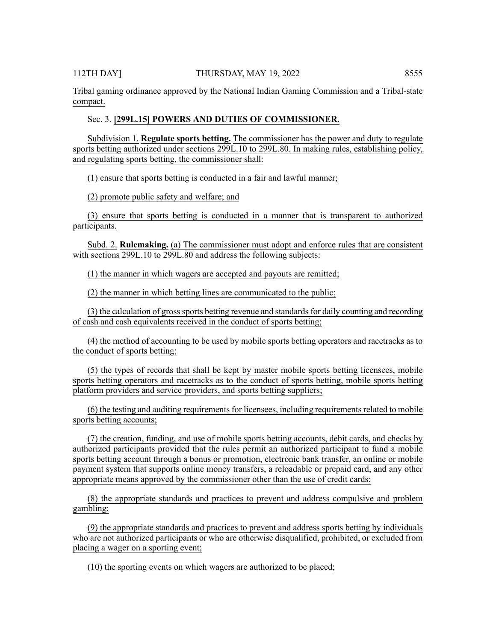Tribal gaming ordinance approved by the National Indian Gaming Commission and a Tribal-state compact.

# Sec. 3. **[299L.15] POWERS AND DUTIES OF COMMISSIONER.**

Subdivision 1. **Regulate sports betting.** The commissioner has the power and duty to regulate sports betting authorized under sections 299L.10 to 299L.80. In making rules, establishing policy, and regulating sports betting, the commissioner shall:

(1) ensure that sports betting is conducted in a fair and lawful manner;

(2) promote public safety and welfare; and

(3) ensure that sports betting is conducted in a manner that is transparent to authorized participants.

Subd. 2. **Rulemaking.** (a) The commissioner must adopt and enforce rules that are consistent with sections 299L.10 to 299L.80 and address the following subjects:

(1) the manner in which wagers are accepted and payouts are remitted;

(2) the manner in which betting lines are communicated to the public;

(3) the calculation of grosssports betting revenue and standardsfor daily counting and recording of cash and cash equivalents received in the conduct of sports betting;

(4) the method of accounting to be used by mobile sports betting operators and racetracks as to the conduct of sports betting;

(5) the types of records that shall be kept by master mobile sports betting licensees, mobile sports betting operators and racetracks as to the conduct of sports betting, mobile sports betting platform providers and service providers, and sports betting suppliers;

(6) the testing and auditing requirements for licensees, including requirements related to mobile sports betting accounts;

(7) the creation, funding, and use of mobile sports betting accounts, debit cards, and checks by authorized participants provided that the rules permit an authorized participant to fund a mobile sports betting account through a bonus or promotion, electronic bank transfer, an online or mobile payment system that supports online money transfers, a reloadable or prepaid card, and any other appropriate means approved by the commissioner other than the use of credit cards;

(8) the appropriate standards and practices to prevent and address compulsive and problem gambling;

(9) the appropriate standards and practices to prevent and address sports betting by individuals who are not authorized participants or who are otherwise disqualified, prohibited, or excluded from placing a wager on a sporting event;

(10) the sporting events on which wagers are authorized to be placed;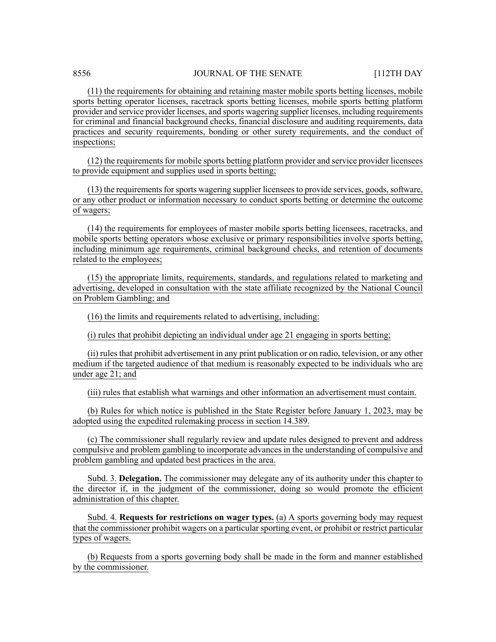(11) the requirements for obtaining and retaining master mobile sports betting licenses, mobile sports betting operator licenses, racetrack sports betting licenses, mobile sports betting platform provider and service provider licenses, and sports wagering supplier licenses, including requirements for criminal and financial background checks, financial disclosure and auditing requirements, data practices and security requirements, bonding or other surety requirements, and the conduct of inspections;

(12) the requirements for mobile sports betting platform provider and service provider licensees to provide equipment and supplies used in sports betting;

(13) the requirementsforsports wagering supplier licenseesto provide services, goods,software, or any other product or information necessary to conduct sports betting or determine the outcome of wagers;

(14) the requirements for employees of master mobile sports betting licensees, racetracks, and mobile sports betting operators whose exclusive or primary responsibilities involve sports betting, including minimum age requirements, criminal background checks, and retention of documents related to the employees;

(15) the appropriate limits, requirements, standards, and regulations related to marketing and advertising, developed in consultation with the state affiliate recognized by the National Council on Problem Gambling; and

(16) the limits and requirements related to advertising, including:

(i) rules that prohibit depicting an individual under age 21 engaging in sports betting;

(ii) rules that prohibit advertisement in any print publication or on radio, television, or any other medium if the targeted audience of that medium is reasonably expected to be individuals who are under age 21; and

(iii) rules that establish what warnings and other information an advertisement must contain.

(b) Rules for which notice is published in the State Register before January 1, 2023, may be adopted using the expedited rulemaking process in section 14.389.

(c) The commissioner shall regularly review and update rules designed to prevent and address compulsive and problem gambling to incorporate advances in the understanding of compulsive and problem gambling and updated best practices in the area.

Subd. 3. **Delegation.** The commissioner may delegate any of its authority under this chapter to the director if, in the judgment of the commissioner, doing so would promote the efficient administration of this chapter.

Subd. 4. **Requests for restrictions on wager types.** (a) A sports governing body may request that the commissioner prohibit wagers on a particular sporting event, or prohibit or restrict particular types of wagers.

(b) Requests from a sports governing body shall be made in the form and manner established by the commissioner.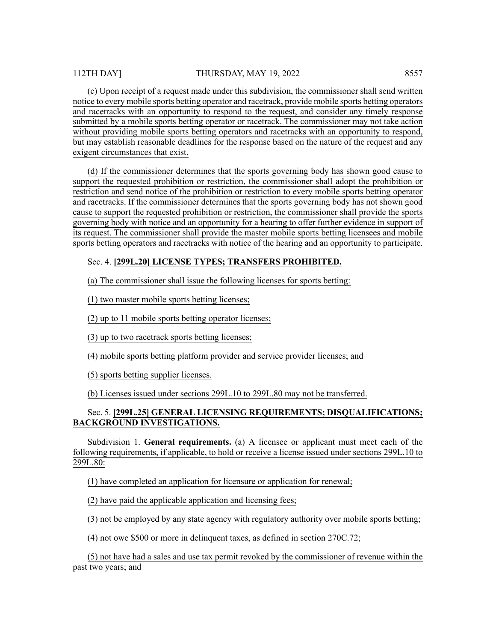(c) Upon receipt of a request made under this subdivision, the commissioner shall send written notice to every mobile sports betting operator and racetrack, provide mobile sports betting operators and racetracks with an opportunity to respond to the request, and consider any timely response submitted by a mobile sports betting operator or racetrack. The commissioner may not take action without providing mobile sports betting operators and racetracks with an opportunity to respond, but may establish reasonable deadlines for the response based on the nature of the request and any exigent circumstances that exist.

(d) If the commissioner determines that the sports governing body has shown good cause to support the requested prohibition or restriction, the commissioner shall adopt the prohibition or restriction and send notice of the prohibition or restriction to every mobile sports betting operator and racetracks. If the commissioner determines that the sports governing body has not shown good cause to support the requested prohibition or restriction, the commissioner shall provide the sports governing body with notice and an opportunity for a hearing to offer further evidence in support of its request. The commissioner shall provide the master mobile sports betting licensees and mobile sports betting operators and racetracks with notice of the hearing and an opportunity to participate.

# Sec. 4. **[299L.20] LICENSE TYPES; TRANSFERS PROHIBITED.**

(a) The commissioner shall issue the following licenses for sports betting:

(1) two master mobile sports betting licenses;

(2) up to 11 mobile sports betting operator licenses;

(3) up to two racetrack sports betting licenses;

(4) mobile sports betting platform provider and service provider licenses; and

(5) sports betting supplier licenses.

(b) Licenses issued under sections 299L.10 to 299L.80 may not be transferred.

# Sec. 5. **[299L.25] GENERAL LICENSING REQUIREMENTS; DISQUALIFICATIONS; BACKGROUND INVESTIGATIONS.**

Subdivision 1. **General requirements.** (a) A licensee or applicant must meet each of the following requirements, if applicable, to hold or receive a license issued under sections 299L.10 to 299L.80:

(1) have completed an application for licensure or application for renewal;

(2) have paid the applicable application and licensing fees;

(3) not be employed by any state agency with regulatory authority over mobile sports betting;

(4) not owe \$500 or more in delinquent taxes, as defined in section 270C.72;

(5) not have had a sales and use tax permit revoked by the commissioner of revenue within the past two years; and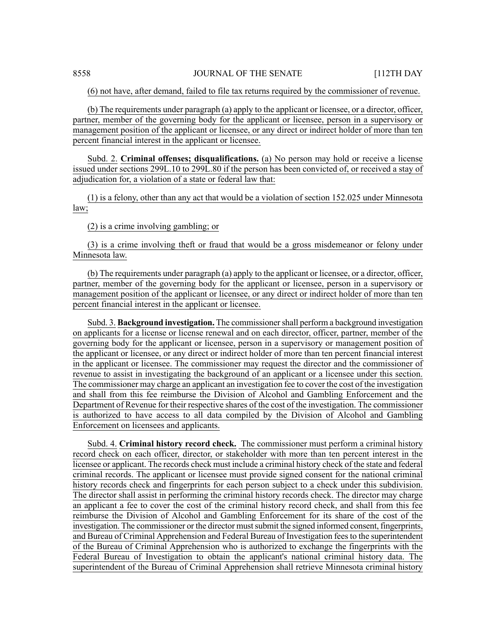(6) not have, after demand, failed to file tax returns required by the commissioner of revenue.

(b) The requirements under paragraph (a) apply to the applicant or licensee, or a director, officer, partner, member of the governing body for the applicant or licensee, person in a supervisory or management position of the applicant or licensee, or any direct or indirect holder of more than ten percent financial interest in the applicant or licensee.

Subd. 2. **Criminal offenses; disqualifications.** (a) No person may hold or receive a license issued under sections 299L.10 to 299L.80 if the person has been convicted of, or received a stay of adjudication for, a violation of a state or federal law that:

(1) is a felony, other than any act that would be a violation of section 152.025 under Minnesota law;

(2) is a crime involving gambling; or

(3) is a crime involving theft or fraud that would be a gross misdemeanor or felony under Minnesota law.

(b) The requirements under paragraph (a) apply to the applicant or licensee, or a director, officer, partner, member of the governing body for the applicant or licensee, person in a supervisory or management position of the applicant or licensee, or any direct or indirect holder of more than ten percent financial interest in the applicant or licensee.

Subd. 3. **Background investigation.** The commissionershall perform a background investigation on applicants for a license or license renewal and on each director, officer, partner, member of the governing body for the applicant or licensee, person in a supervisory or management position of the applicant or licensee, or any direct or indirect holder of more than ten percent financial interest in the applicant or licensee. The commissioner may request the director and the commissioner of revenue to assist in investigating the background of an applicant or a licensee under this section. The commissioner may charge an applicant an investigation fee to cover the cost of the investigation and shall from this fee reimburse the Division of Alcohol and Gambling Enforcement and the Department of Revenue for their respective shares of the cost of the investigation. The commissioner is authorized to have access to all data compiled by the Division of Alcohol and Gambling Enforcement on licensees and applicants.

Subd. 4. **Criminal history record check.** The commissioner must perform a criminal history record check on each officer, director, or stakeholder with more than ten percent interest in the licensee or applicant. The records check must include a criminal history check of the state and federal criminal records. The applicant or licensee must provide signed consent for the national criminal history records check and fingerprints for each person subject to a check under this subdivision. The director shall assist in performing the criminal history records check. The director may charge an applicant a fee to cover the cost of the criminal history record check, and shall from this fee reimburse the Division of Alcohol and Gambling Enforcement for its share of the cost of the investigation. The commissioner or the director mustsubmit the signed informed consent, fingerprints, and Bureau of Criminal Apprehension and Federal Bureau of Investigation feesto the superintendent of the Bureau of Criminal Apprehension who is authorized to exchange the fingerprints with the Federal Bureau of Investigation to obtain the applicant's national criminal history data. The superintendent of the Bureau of Criminal Apprehension shall retrieve Minnesota criminal history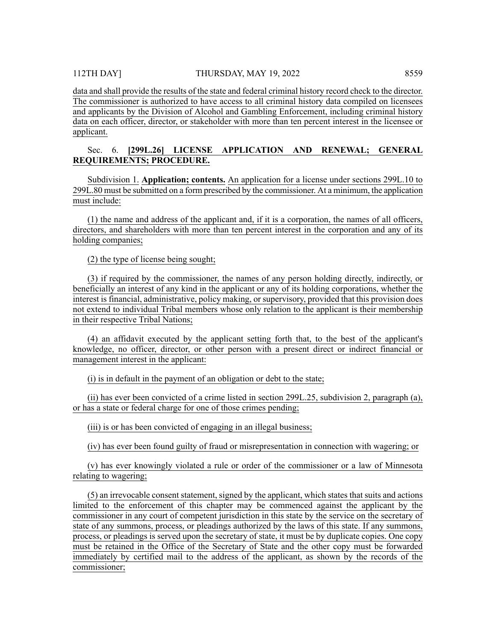data and shall provide the results of the state and federal criminal history record check to the director. The commissioner is authorized to have access to all criminal history data compiled on licensees and applicants by the Division of Alcohol and Gambling Enforcement, including criminal history data on each officer, director, or stakeholder with more than ten percent interest in the licensee or applicant.

# Sec. 6. **[299L.26] LICENSE APPLICATION AND RENEWAL; GENERAL REQUIREMENTS; PROCEDURE.**

Subdivision 1. **Application; contents.** An application for a license under sections 299L.10 to 299L.80 must be submitted on a form prescribed by the commissioner. At a minimum, the application must include:

(1) the name and address of the applicant and, if it is a corporation, the names of all officers, directors, and shareholders with more than ten percent interest in the corporation and any of its holding companies;

(2) the type of license being sought;

(3) if required by the commissioner, the names of any person holding directly, indirectly, or beneficially an interest of any kind in the applicant or any of its holding corporations, whether the interest is financial, administrative, policy making, or supervisory, provided that this provision does not extend to individual Tribal members whose only relation to the applicant is their membership in their respective Tribal Nations;

(4) an affidavit executed by the applicant setting forth that, to the best of the applicant's knowledge, no officer, director, or other person with a present direct or indirect financial or management interest in the applicant:

(i) is in default in the payment of an obligation or debt to the state;

(ii) has ever been convicted of a crime listed in section 299L.25, subdivision 2, paragraph (a), or has a state or federal charge for one of those crimes pending;

(iii) is or has been convicted of engaging in an illegal business;

(iv) has ever been found guilty of fraud or misrepresentation in connection with wagering; or

(v) has ever knowingly violated a rule or order of the commissioner or a law of Minnesota relating to wagering;

(5) an irrevocable consent statement, signed by the applicant, which states that suits and actions limited to the enforcement of this chapter may be commenced against the applicant by the commissioner in any court of competent jurisdiction in this state by the service on the secretary of state of any summons, process, or pleadings authorized by the laws of this state. If any summons, process, or pleadings is served upon the secretary of state, it must be by duplicate copies. One copy must be retained in the Office of the Secretary of State and the other copy must be forwarded immediately by certified mail to the address of the applicant, as shown by the records of the commissioner;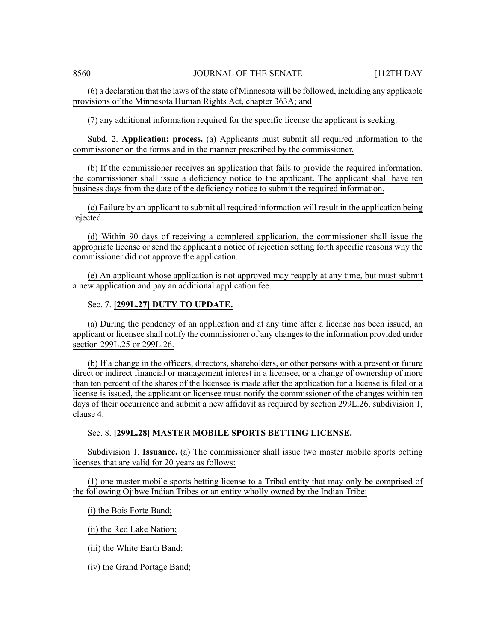(6) a declaration that the laws of the state of Minnesota will be followed, including any applicable provisions of the Minnesota Human Rights Act, chapter 363A; and

(7) any additional information required for the specific license the applicant is seeking.

Subd. 2. **Application; process.** (a) Applicants must submit all required information to the commissioner on the forms and in the manner prescribed by the commissioner.

(b) If the commissioner receives an application that fails to provide the required information, the commissioner shall issue a deficiency notice to the applicant. The applicant shall have ten business days from the date of the deficiency notice to submit the required information.

(c) Failure by an applicant to submit all required information will result in the application being rejected.

(d) Within 90 days of receiving a completed application, the commissioner shall issue the appropriate license or send the applicant a notice of rejection setting forth specific reasons why the commissioner did not approve the application.

(e) An applicant whose application is not approved may reapply at any time, but must submit a new application and pay an additional application fee.

# Sec. 7. **[299L.27] DUTY TO UPDATE.**

(a) During the pendency of an application and at any time after a license has been issued, an applicant or licensee shall notify the commissioner of any changes to the information provided under section 299L.25 or 299L.26.

(b) If a change in the officers, directors, shareholders, or other persons with a present or future direct or indirect financial or management interest in a licensee, or a change of ownership of more than ten percent of the shares of the licensee is made after the application for a license is filed or a license is issued, the applicant or licensee must notify the commissioner of the changes within ten days of their occurrence and submit a new affidavit as required by section 299L.26, subdivision 1, clause 4.

# Sec. 8. **[299L.28] MASTER MOBILE SPORTS BETTING LICENSE.**

Subdivision 1. **Issuance.** (a) The commissioner shall issue two master mobile sports betting licenses that are valid for 20 years as follows:

(1) one master mobile sports betting license to a Tribal entity that may only be comprised of the following Ojibwe Indian Tribes or an entity wholly owned by the Indian Tribe:

(i) the Bois Forte Band;

(ii) the Red Lake Nation;

(iii) the White Earth Band;

(iv) the Grand Portage Band;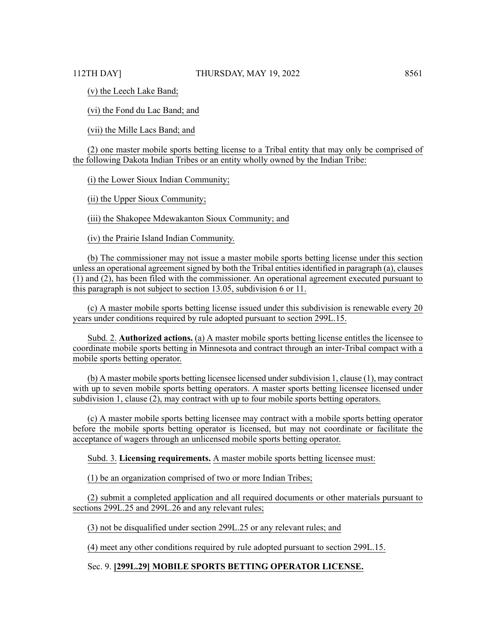(v) the Leech Lake Band;

(vi) the Fond du Lac Band; and

(vii) the Mille Lacs Band; and

(2) one master mobile sports betting license to a Tribal entity that may only be comprised of the following Dakota Indian Tribes or an entity wholly owned by the Indian Tribe:

(i) the Lower Sioux Indian Community;

(ii) the Upper Sioux Community;

(iii) the Shakopee Mdewakanton Sioux Community; and

(iv) the Prairie Island Indian Community.

(b) The commissioner may not issue a master mobile sports betting license under this section unless an operational agreement signed by both the Tribal entities identified in paragraph (a), clauses (1) and (2), has been filed with the commissioner. An operational agreement executed pursuant to this paragraph is not subject to section 13.05, subdivision 6 or 11.

(c) A master mobile sports betting license issued under this subdivision is renewable every 20 years under conditions required by rule adopted pursuant to section 299L.15.

Subd. 2. **Authorized actions.** (a) A master mobile sports betting license entitles the licensee to coordinate mobile sports betting in Minnesota and contract through an inter-Tribal compact with a mobile sports betting operator.

(b) A master mobile sports betting licensee licensed undersubdivision 1, clause (1), may contract with up to seven mobile sports betting operators. A master sports betting licensee licensed under subdivision 1, clause (2), may contract with up to four mobile sports betting operators.

(c) A master mobile sports betting licensee may contract with a mobile sports betting operator before the mobile sports betting operator is licensed, but may not coordinate or facilitate the acceptance of wagers through an unlicensed mobile sports betting operator.

Subd. 3. **Licensing requirements.** A master mobile sports betting licensee must:

(1) be an organization comprised of two or more Indian Tribes;

(2) submit a completed application and all required documents or other materials pursuant to sections 299L.25 and 299L.26 and any relevant rules;

(3) not be disqualified under section 299L.25 or any relevant rules; and

(4) meet any other conditions required by rule adopted pursuant to section 299L.15.

# Sec. 9. **[299L.29] MOBILE SPORTS BETTING OPERATOR LICENSE.**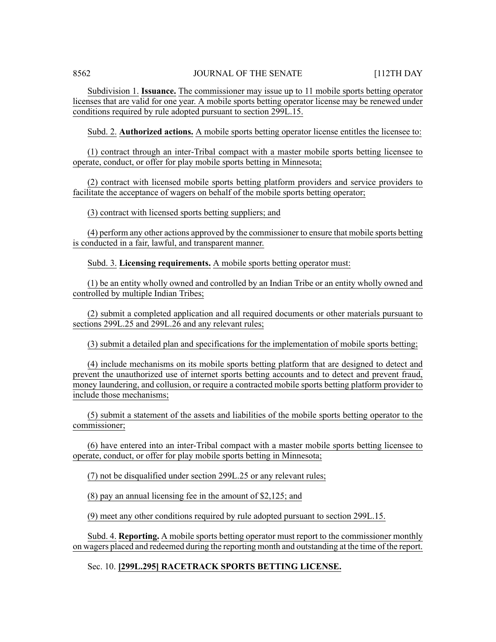Subdivision 1. **Issuance.** The commissioner may issue up to 11 mobile sports betting operator licenses that are valid for one year. A mobile sports betting operator license may be renewed under conditions required by rule adopted pursuant to section 299L.15.

Subd. 2. **Authorized actions.** A mobile sports betting operator license entitles the licensee to:

(1) contract through an inter-Tribal compact with a master mobile sports betting licensee to operate, conduct, or offer for play mobile sports betting in Minnesota;

(2) contract with licensed mobile sports betting platform providers and service providers to facilitate the acceptance of wagers on behalf of the mobile sports betting operator;

(3) contract with licensed sports betting suppliers; and

(4) perform any other actions approved by the commissioner to ensure that mobile sports betting is conducted in a fair, lawful, and transparent manner.

Subd. 3. **Licensing requirements.** A mobile sports betting operator must:

(1) be an entity wholly owned and controlled by an Indian Tribe or an entity wholly owned and controlled by multiple Indian Tribes;

(2) submit a completed application and all required documents or other materials pursuant to sections 299L.25 and 299L.26 and any relevant rules;

(3) submit a detailed plan and specifications for the implementation of mobile sports betting;

(4) include mechanisms on its mobile sports betting platform that are designed to detect and prevent the unauthorized use of internet sports betting accounts and to detect and prevent fraud, money laundering, and collusion, or require a contracted mobile sports betting platform provider to include those mechanisms;

(5) submit a statement of the assets and liabilities of the mobile sports betting operator to the commissioner;

(6) have entered into an inter-Tribal compact with a master mobile sports betting licensee to operate, conduct, or offer for play mobile sports betting in Minnesota;

(7) not be disqualified under section 299L.25 or any relevant rules;

(8) pay an annual licensing fee in the amount of \$2,125; and

(9) meet any other conditions required by rule adopted pursuant to section 299L.15.

Subd. 4. **Reporting.** A mobile sports betting operator must report to the commissioner monthly on wagers placed and redeemed during the reporting month and outstanding at the time of the report.

# Sec. 10. **[299L.295] RACETRACK SPORTS BETTING LICENSE.**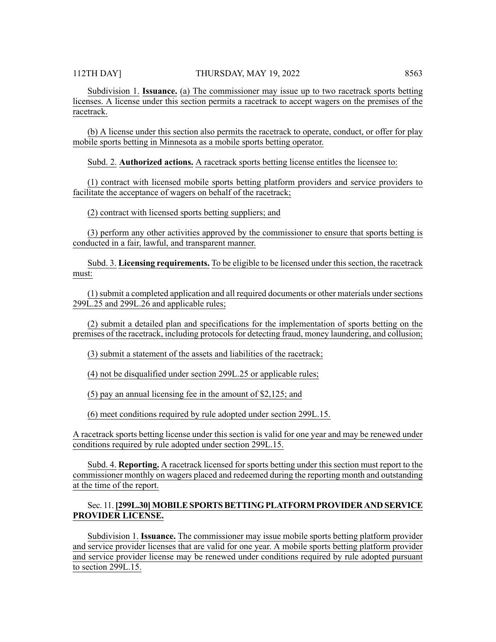Subdivision 1. **Issuance.** (a) The commissioner may issue up to two racetrack sports betting licenses. A license under this section permits a racetrack to accept wagers on the premises of the racetrack.

(b) A license under this section also permits the racetrack to operate, conduct, or offer for play mobile sports betting in Minnesota as a mobile sports betting operator.

Subd. 2. **Authorized actions.** A racetrack sports betting license entitles the licensee to:

(1) contract with licensed mobile sports betting platform providers and service providers to facilitate the acceptance of wagers on behalf of the racetrack;

(2) contract with licensed sports betting suppliers; and

(3) perform any other activities approved by the commissioner to ensure that sports betting is conducted in a fair, lawful, and transparent manner.

Subd. 3. **Licensing requirements.** To be eligible to be licensed under this section, the racetrack must:

(1) submit a completed application and all required documents or other materials under sections 299L.25 and 299L.26 and applicable rules;

(2) submit a detailed plan and specifications for the implementation of sports betting on the premises of the racetrack, including protocols for detecting fraud, money laundering, and collusion;

(3) submit a statement of the assets and liabilities of the racetrack;

(4) not be disqualified under section 299L.25 or applicable rules;

(5) pay an annual licensing fee in the amount of \$2,125; and

(6) meet conditions required by rule adopted under section 299L.15.

A racetrack sports betting license under this section is valid for one year and may be renewed under conditions required by rule adopted under section 299L.15.

Subd. 4. **Reporting.** A racetrack licensed for sports betting under this section must report to the commissioner monthly on wagers placed and redeemed during the reporting month and outstanding at the time of the report.

# Sec. 11.**[299L.30]MOBILESPORTSBETTINGPLATFORMPROVIDER AND SERVICE PROVIDER LICENSE.**

Subdivision 1. **Issuance.** The commissioner may issue mobile sports betting platform provider and service provider licenses that are valid for one year. A mobile sports betting platform provider and service provider license may be renewed under conditions required by rule adopted pursuant to section 299L.15.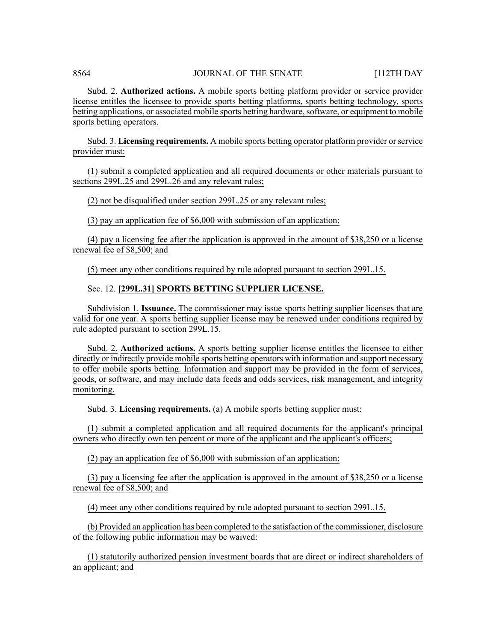Subd. 2. **Authorized actions.** A mobile sports betting platform provider or service provider license entitles the licensee to provide sports betting platforms, sports betting technology, sports betting applications, or associated mobile sports betting hardware, software, or equipment to mobile sports betting operators.

Subd. 3. **Licensing requirements.** A mobile sports betting operator platform provider orservice provider must:

(1) submit a completed application and all required documents or other materials pursuant to sections 299L.25 and 299L.26 and any relevant rules;

(2) not be disqualified under section 299L.25 or any relevant rules;

(3) pay an application fee of \$6,000 with submission of an application;

(4) pay a licensing fee after the application is approved in the amount of \$38,250 or a license renewal fee of \$8,500; and

(5) meet any other conditions required by rule adopted pursuant to section 299L.15.

# Sec. 12. **[299L.31] SPORTS BETTING SUPPLIER LICENSE.**

Subdivision 1. **Issuance.** The commissioner may issue sports betting supplier licenses that are valid for one year. A sports betting supplier license may be renewed under conditions required by rule adopted pursuant to section 299L.15.

Subd. 2. **Authorized actions.** A sports betting supplier license entitles the licensee to either directly or indirectly provide mobile sports betting operators with information and support necessary to offer mobile sports betting. Information and support may be provided in the form of services, goods, or software, and may include data feeds and odds services, risk management, and integrity monitoring.

Subd. 3. **Licensing requirements.** (a) A mobile sports betting supplier must:

(1) submit a completed application and all required documents for the applicant's principal owners who directly own ten percent or more of the applicant and the applicant's officers;

(2) pay an application fee of \$6,000 with submission of an application;

(3) pay a licensing fee after the application is approved in the amount of \$38,250 or a license renewal fee of \$8,500; and

(4) meet any other conditions required by rule adopted pursuant to section 299L.15.

(b) Provided an application has been completed to the satisfaction of the commissioner, disclosure of the following public information may be waived:

(1) statutorily authorized pension investment boards that are direct or indirect shareholders of an applicant; and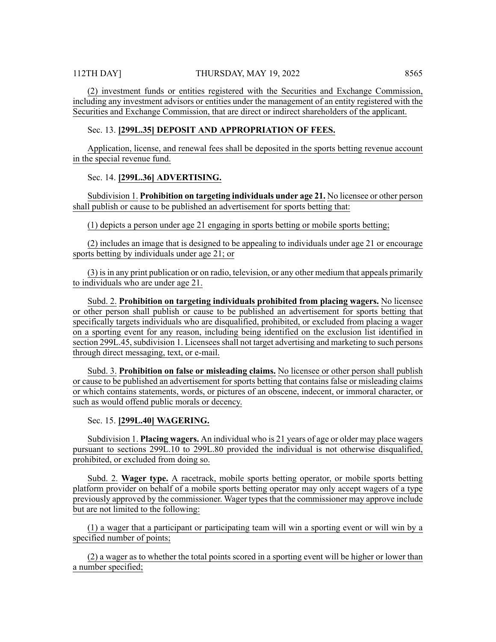(2) investment funds or entities registered with the Securities and Exchange Commission, including any investment advisors or entities under the management of an entity registered with the Securities and Exchange Commission, that are direct or indirect shareholders of the applicant.

# Sec. 13. **[299L.35] DEPOSIT AND APPROPRIATION OF FEES.**

Application, license, and renewal fees shall be deposited in the sports betting revenue account in the special revenue fund.

# Sec. 14. **[299L.36] ADVERTISING.**

Subdivision 1. **Prohibition on targeting individuals under age 21.** No licensee or other person shall publish or cause to be published an advertisement for sports betting that:

(1) depicts a person under age 21 engaging in sports betting or mobile sports betting;

(2) includes an image that is designed to be appealing to individuals under age 21 or encourage sports betting by individuals under age 21; or

(3) is in any print publication or on radio, television, or any other medium that appeals primarily to individuals who are under age 21.

Subd. 2. **Prohibition on targeting individuals prohibited from placing wagers.** No licensee or other person shall publish or cause to be published an advertisement for sports betting that specifically targets individuals who are disqualified, prohibited, or excluded from placing a wager on a sporting event for any reason, including being identified on the exclusion list identified in section 299L.45, subdivision 1. Licensees shall not target advertising and marketing to such persons through direct messaging, text, or e-mail.

Subd. 3. **Prohibition on false or misleading claims.** No licensee or other person shall publish or cause to be published an advertisement for sports betting that contains false or misleading claims or which contains statements, words, or pictures of an obscene, indecent, or immoral character, or such as would offend public morals or decency.

Sec. 15. **[299L.40] WAGERING.**

Subdivision 1. **Placing wagers.** An individual who is 21 years of age or older may place wagers pursuant to sections 299L.10 to 299L.80 provided the individual is not otherwise disqualified, prohibited, or excluded from doing so.

Subd. 2. **Wager type.** A racetrack, mobile sports betting operator, or mobile sports betting platform provider on behalf of a mobile sports betting operator may only accept wagers of a type previously approved by the commissioner. Wager types that the commissioner may approve include but are not limited to the following:

(1) a wager that a participant or participating team will win a sporting event or will win by a specified number of points;

(2) a wager as to whether the total points scored in a sporting event will be higher or lower than a number specified;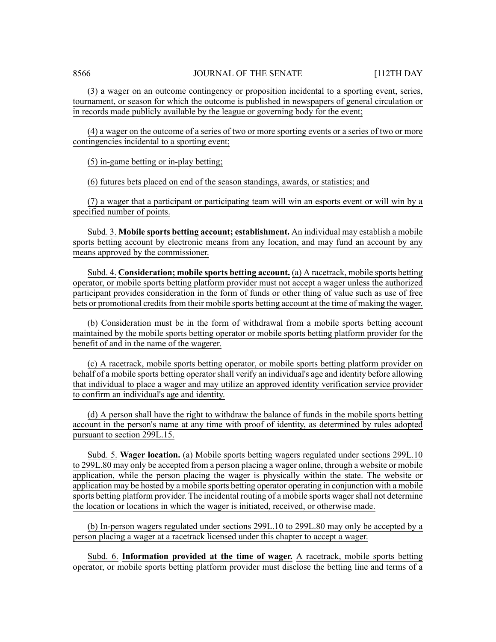(3) a wager on an outcome contingency or proposition incidental to a sporting event, series, tournament, or season for which the outcome is published in newspapers of general circulation or in records made publicly available by the league or governing body for the event;

(4) a wager on the outcome of a series of two or more sporting events or a series of two or more contingencies incidental to a sporting event;

(5) in-game betting or in-play betting;

(6) futures bets placed on end of the season standings, awards, or statistics; and

(7) a wager that a participant or participating team will win an esports event or will win by a specified number of points.

Subd. 3. **Mobile sports betting account; establishment.** An individual may establish a mobile sports betting account by electronic means from any location, and may fund an account by any means approved by the commissioner.

Subd. 4. **Consideration; mobile sports betting account.** (a) A racetrack, mobile sports betting operator, or mobile sports betting platform provider must not accept a wager unless the authorized participant provides consideration in the form of funds or other thing of value such as use of free bets or promotional credits from their mobile sports betting account at the time of making the wager.

(b) Consideration must be in the form of withdrawal from a mobile sports betting account maintained by the mobile sports betting operator or mobile sports betting platform provider for the benefit of and in the name of the wagerer.

(c) A racetrack, mobile sports betting operator, or mobile sports betting platform provider on behalf of a mobile sports betting operator shall verify an individual's age and identity before allowing that individual to place a wager and may utilize an approved identity verification service provider to confirm an individual's age and identity.

(d) A person shall have the right to withdraw the balance of funds in the mobile sports betting account in the person's name at any time with proof of identity, as determined by rules adopted pursuant to section 299L.15.

Subd. 5. **Wager location.** (a) Mobile sports betting wagers regulated under sections 299L.10 to 299L.80 may only be accepted from a person placing a wager online, through a website or mobile application, while the person placing the wager is physically within the state. The website or application may be hosted by a mobile sports betting operator operating in conjunction with a mobile sports betting platform provider. The incidental routing of a mobile sports wagershall not determine the location or locations in which the wager is initiated, received, or otherwise made.

(b) In-person wagers regulated under sections 299L.10 to 299L.80 may only be accepted by a person placing a wager at a racetrack licensed under this chapter to accept a wager.

Subd. 6. **Information provided at the time of wager.** A racetrack, mobile sports betting operator, or mobile sports betting platform provider must disclose the betting line and terms of a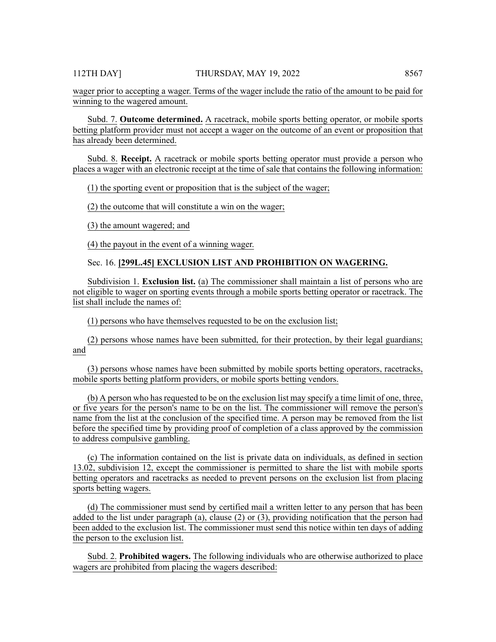wager prior to accepting a wager. Terms of the wager include the ratio of the amount to be paid for winning to the wagered amount.

Subd. 7. **Outcome determined.** A racetrack, mobile sports betting operator, or mobile sports betting platform provider must not accept a wager on the outcome of an event or proposition that has already been determined.

Subd. 8. **Receipt.** A racetrack or mobile sports betting operator must provide a person who places a wager with an electronic receipt at the time of sale that contains the following information:

(1) the sporting event or proposition that is the subject of the wager;

(2) the outcome that will constitute a win on the wager;

(3) the amount wagered; and

(4) the payout in the event of a winning wager.

Sec. 16. **[299L.45] EXCLUSION LIST AND PROHIBITION ON WAGERING.**

Subdivision 1. **Exclusion list.** (a) The commissioner shall maintain a list of persons who are not eligible to wager on sporting events through a mobile sports betting operator or racetrack. The list shall include the names of:

(1) persons who have themselves requested to be on the exclusion list;

(2) persons whose names have been submitted, for their protection, by their legal guardians; and

(3) persons whose names have been submitted by mobile sports betting operators, racetracks, mobile sports betting platform providers, or mobile sports betting vendors.

(b) A person who has requested to be on the exclusion list may specify a time limit of one, three, or five years for the person's name to be on the list. The commissioner will remove the person's name from the list at the conclusion of the specified time. A person may be removed from the list before the specified time by providing proof of completion of a class approved by the commission to address compulsive gambling.

(c) The information contained on the list is private data on individuals, as defined in section 13.02, subdivision 12, except the commissioner is permitted to share the list with mobile sports betting operators and racetracks as needed to prevent persons on the exclusion list from placing sports betting wagers.

(d) The commissioner must send by certified mail a written letter to any person that has been added to the list under paragraph (a), clause (2) or (3), providing notification that the person had been added to the exclusion list. The commissioner must send this notice within ten days of adding the person to the exclusion list.

Subd. 2. **Prohibited wagers.** The following individuals who are otherwise authorized to place wagers are prohibited from placing the wagers described: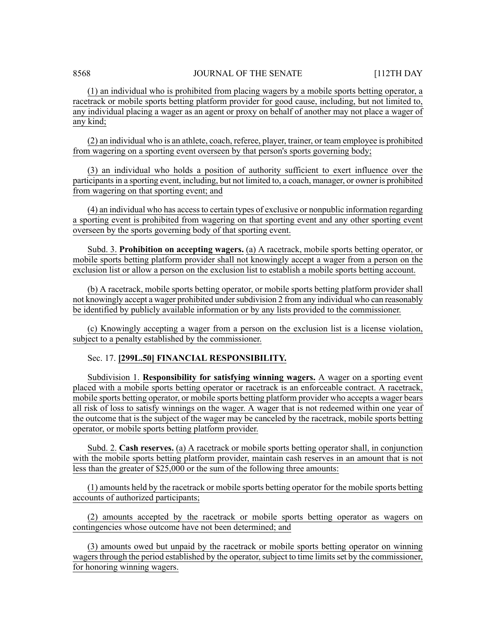(1) an individual who is prohibited from placing wagers by a mobile sports betting operator, a racetrack or mobile sports betting platform provider for good cause, including, but not limited to, any individual placing a wager as an agent or proxy on behalf of another may not place a wager of any kind;

(2) an individual who is an athlete, coach, referee, player, trainer, or team employee is prohibited from wagering on a sporting event overseen by that person's sports governing body;

(3) an individual who holds a position of authority sufficient to exert influence over the participants in a sporting event, including, but not limited to, a coach, manager, or owner is prohibited from wagering on that sporting event; and

(4) an individual who has accessto certain types of exclusive or nonpublic information regarding a sporting event is prohibited from wagering on that sporting event and any other sporting event overseen by the sports governing body of that sporting event.

Subd. 3. **Prohibition on accepting wagers.** (a) A racetrack, mobile sports betting operator, or mobile sports betting platform provider shall not knowingly accept a wager from a person on the exclusion list or allow a person on the exclusion list to establish a mobile sports betting account.

(b) A racetrack, mobile sports betting operator, or mobile sports betting platform provider shall not knowingly accept a wager prohibited under subdivision 2 from any individual who can reasonably be identified by publicly available information or by any lists provided to the commissioner.

(c) Knowingly accepting a wager from a person on the exclusion list is a license violation, subject to a penalty established by the commissioner.

# Sec. 17. **[299L.50] FINANCIAL RESPONSIBILITY.**

Subdivision 1. **Responsibility for satisfying winning wagers.** A wager on a sporting event placed with a mobile sports betting operator or racetrack is an enforceable contract. A racetrack, mobile sports betting operator, or mobile sports betting platform provider who accepts a wager bears all risk of loss to satisfy winnings on the wager. A wager that is not redeemed within one year of the outcome that is the subject of the wager may be canceled by the racetrack, mobile sports betting operator, or mobile sports betting platform provider.

Subd. 2. **Cash reserves.** (a) A racetrack or mobile sports betting operator shall, in conjunction with the mobile sports betting platform provider, maintain cash reserves in an amount that is not less than the greater of \$25,000 or the sum of the following three amounts:

(1) amounts held by the racetrack or mobile sports betting operator for the mobile sports betting accounts of authorized participants;

(2) amounts accepted by the racetrack or mobile sports betting operator as wagers on contingencies whose outcome have not been determined; and

(3) amounts owed but unpaid by the racetrack or mobile sports betting operator on winning wagers through the period established by the operator, subject to time limits set by the commissioner, for honoring winning wagers.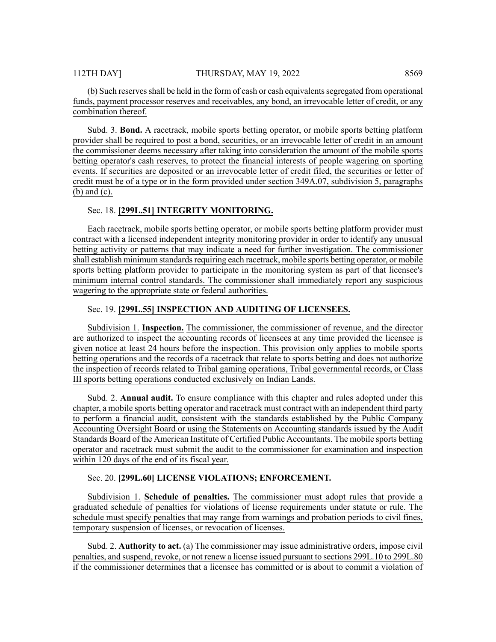(b) Such reserves shall be held in the form of cash or cash equivalents segregated from operational funds, payment processor reserves and receivables, any bond, an irrevocable letter of credit, or any combination thereof.

Subd. 3. **Bond.** A racetrack, mobile sports betting operator, or mobile sports betting platform provider shall be required to post a bond, securities, or an irrevocable letter of credit in an amount the commissioner deems necessary after taking into consideration the amount of the mobile sports betting operator's cash reserves, to protect the financial interests of people wagering on sporting events. If securities are deposited or an irrevocable letter of credit filed, the securities or letter of credit must be of a type or in the form provided under section 349A.07, subdivision 5, paragraphs (b) and (c).

### Sec. 18. **[299L.51] INTEGRITY MONITORING.**

Each racetrack, mobile sports betting operator, or mobile sports betting platform provider must contract with a licensed independent integrity monitoring provider in order to identify any unusual betting activity or patterns that may indicate a need for further investigation. The commissioner shall establish minimum standards requiring each racetrack, mobile sports betting operator, or mobile sports betting platform provider to participate in the monitoring system as part of that licensee's minimum internal control standards. The commissioner shall immediately report any suspicious wagering to the appropriate state or federal authorities.

#### Sec. 19. **[299L.55] INSPECTION AND AUDITING OF LICENSEES.**

Subdivision 1. **Inspection.** The commissioner, the commissioner of revenue, and the director are authorized to inspect the accounting records of licensees at any time provided the licensee is given notice at least 24 hours before the inspection. This provision only applies to mobile sports betting operations and the records of a racetrack that relate to sports betting and does not authorize the inspection of records related to Tribal gaming operations, Tribal governmental records, or Class III sports betting operations conducted exclusively on Indian Lands.

Subd. 2. **Annual audit.** To ensure compliance with this chapter and rules adopted under this chapter, a mobile sports betting operator and racetrack must contract with an independent third party to perform a financial audit, consistent with the standards established by the Public Company Accounting Oversight Board or using the Statements on Accounting standards issued by the Audit Standards Board of the American Institute of Certified Public Accountants. The mobile sports betting operator and racetrack must submit the audit to the commissioner for examination and inspection within 120 days of the end of its fiscal year.

# Sec. 20. **[299L.60] LICENSE VIOLATIONS; ENFORCEMENT.**

Subdivision 1. **Schedule of penalties.** The commissioner must adopt rules that provide a graduated schedule of penalties for violations of license requirements under statute or rule. The schedule must specify penalties that may range from warnings and probation periods to civil fines, temporary suspension of licenses, or revocation of licenses.

Subd. 2. **Authority to act.** (a) The commissioner may issue administrative orders, impose civil penalties, and suspend, revoke, or not renew a license issued pursuant to sections 299L.10 to 299L.80 if the commissioner determines that a licensee has committed or is about to commit a violation of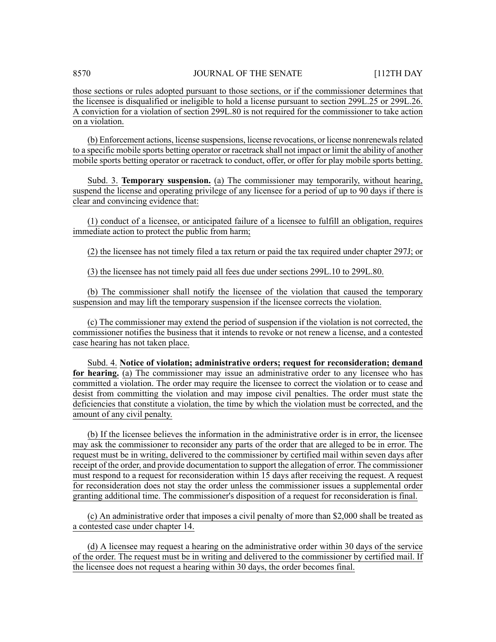those sections or rules adopted pursuant to those sections, or if the commissioner determines that the licensee is disqualified or ineligible to hold a license pursuant to section 299L.25 or 299L.26. A conviction for a violation of section 299L.80 is not required for the commissioner to take action on a violation.

(b) Enforcement actions, license suspensions, license revocations, or license nonrenewalsrelated to a specific mobile sports betting operator or racetrack shall not impact or limit the ability of another mobile sports betting operator or racetrack to conduct, offer, or offer for play mobile sports betting.

Subd. 3. **Temporary suspension.** (a) The commissioner may temporarily, without hearing, suspend the license and operating privilege of any licensee for a period of up to 90 days if there is clear and convincing evidence that:

(1) conduct of a licensee, or anticipated failure of a licensee to fulfill an obligation, requires immediate action to protect the public from harm;

(2) the licensee has not timely filed a tax return or paid the tax required under chapter 297J; or

(3) the licensee has not timely paid all fees due under sections 299L.10 to 299L.80.

(b) The commissioner shall notify the licensee of the violation that caused the temporary suspension and may lift the temporary suspension if the licensee corrects the violation.

(c) The commissioner may extend the period of suspension if the violation is not corrected, the commissioner notifies the business that it intends to revoke or not renew a license, and a contested case hearing has not taken place.

Subd. 4. **Notice of violation; administrative orders; request for reconsideration; demand for hearing.** (a) The commissioner may issue an administrative order to any licensee who has committed a violation. The order may require the licensee to correct the violation or to cease and desist from committing the violation and may impose civil penalties. The order must state the deficiencies that constitute a violation, the time by which the violation must be corrected, and the amount of any civil penalty.

(b) If the licensee believes the information in the administrative order is in error, the licensee may ask the commissioner to reconsider any parts of the order that are alleged to be in error. The request must be in writing, delivered to the commissioner by certified mail within seven days after receipt of the order, and provide documentation to support the allegation of error. The commissioner must respond to a request for reconsideration within 15 days after receiving the request. A request for reconsideration does not stay the order unless the commissioner issues a supplemental order granting additional time. The commissioner's disposition of a request for reconsideration is final.

(c) An administrative order that imposes a civil penalty of more than \$2,000 shall be treated as a contested case under chapter 14.

(d) A licensee may request a hearing on the administrative order within 30 days of the service of the order. The request must be in writing and delivered to the commissioner by certified mail. If the licensee does not request a hearing within 30 days, the order becomes final.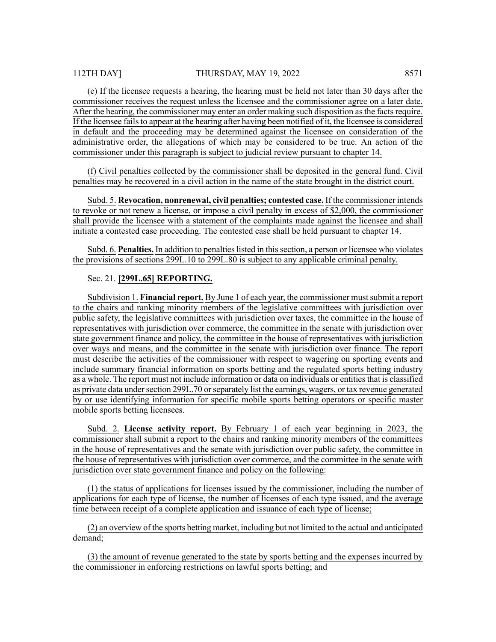(e) If the licensee requests a hearing, the hearing must be held not later than 30 days after the commissioner receives the request unless the licensee and the commissioner agree on a later date. After the hearing, the commissioner may enter an order making such disposition as the facts require. If the licensee fails to appear at the hearing after having been notified of it, the licensee is considered in default and the proceeding may be determined against the licensee on consideration of the administrative order, the allegations of which may be considered to be true. An action of the commissioner under this paragraph is subject to judicial review pursuant to chapter 14.

(f) Civil penalties collected by the commissioner shall be deposited in the general fund. Civil penalties may be recovered in a civil action in the name of the state brought in the district court.

Subd. 5. **Revocation, nonrenewal, civil penalties; contested case.** If the commissioner intends to revoke or not renew a license, or impose a civil penalty in excess of \$2,000, the commissioner shall provide the licensee with a statement of the complaints made against the licensee and shall initiate a contested case proceeding. The contested case shall be held pursuant to chapter 14.

Subd. 6. **Penalties.** In addition to penalties listed in this section, a person or licensee who violates the provisions of sections 299L.10 to 299L.80 is subject to any applicable criminal penalty.

# Sec. 21. **[299L.65] REPORTING.**

Subdivision 1. **Financial report.** By June 1 of each year, the commissioner mustsubmit a report to the chairs and ranking minority members of the legislative committees with jurisdiction over public safety, the legislative committees with jurisdiction over taxes, the committee in the house of representatives with jurisdiction over commerce, the committee in the senate with jurisdiction over state government finance and policy, the committee in the house of representatives with jurisdiction over ways and means, and the committee in the senate with jurisdiction over finance. The report must describe the activities of the commissioner with respect to wagering on sporting events and include summary financial information on sports betting and the regulated sports betting industry as a whole. The report must not include information or data on individuals or entities that is classified as private data under section 299L.70 or separately list the earnings, wagers, or tax revenue generated by or use identifying information for specific mobile sports betting operators or specific master mobile sports betting licensees.

Subd. 2. **License activity report.** By February 1 of each year beginning in 2023, the commissioner shall submit a report to the chairs and ranking minority members of the committees in the house of representatives and the senate with jurisdiction over public safety, the committee in the house of representatives with jurisdiction over commerce, and the committee in the senate with jurisdiction over state government finance and policy on the following:

(1) the status of applications for licenses issued by the commissioner, including the number of applications for each type of license, the number of licenses of each type issued, and the average time between receipt of a complete application and issuance of each type of license;

(2) an overview of the sports betting market, including but not limited to the actual and anticipated demand;

(3) the amount of revenue generated to the state by sports betting and the expenses incurred by the commissioner in enforcing restrictions on lawful sports betting; and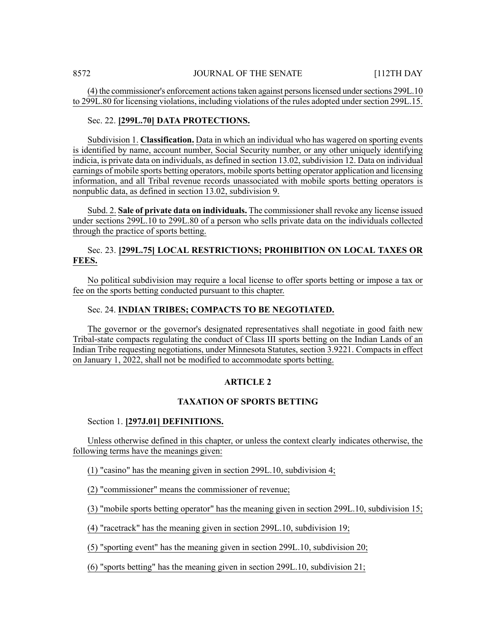(4) the commissioner's enforcement actionstaken against personslicensed undersections 299L.10 to 299L.80 for licensing violations, including violations of the rules adopted under section 299L.15.

# Sec. 22. **[299L.70] DATA PROTECTIONS.**

Subdivision 1. **Classification.** Data in which an individual who has wagered on sporting events is identified by name, account number, Social Security number, or any other uniquely identifying indicia, is private data on individuals, as defined in section 13.02, subdivision 12. Data on individual earnings of mobile sports betting operators, mobile sports betting operator application and licensing information, and all Tribal revenue records unassociated with mobile sports betting operators is nonpublic data, as defined in section 13.02, subdivision 9.

Subd. 2. **Sale of private data on individuals.** The commissionershall revoke any license issued under sections 299L.10 to 299L.80 of a person who sells private data on the individuals collected through the practice of sports betting.

# Sec. 23. **[299L.75] LOCAL RESTRICTIONS; PROHIBITION ON LOCAL TAXES OR FEES.**

No political subdivision may require a local license to offer sports betting or impose a tax or fee on the sports betting conducted pursuant to this chapter.

# Sec. 24. **INDIAN TRIBES; COMPACTS TO BE NEGOTIATED.**

The governor or the governor's designated representatives shall negotiate in good faith new Tribal-state compacts regulating the conduct of Class III sports betting on the Indian Lands of an Indian Tribe requesting negotiations, under Minnesota Statutes, section 3.9221. Compacts in effect on January 1, 2022, shall not be modified to accommodate sports betting.

# **ARTICLE 2**

# **TAXATION OF SPORTS BETTING**

#### Section 1. **[297J.01] DEFINITIONS.**

Unless otherwise defined in this chapter, or unless the context clearly indicates otherwise, the following terms have the meanings given:

(1) "casino" has the meaning given in section 299L.10, subdivision 4;

(2) "commissioner" means the commissioner of revenue;

(3) "mobile sports betting operator" has the meaning given in section 299L.10, subdivision 15;

(4) "racetrack" has the meaning given in section 299L.10, subdivision 19;

(5) "sporting event" has the meaning given in section 299L.10, subdivision 20;

(6) "sports betting" has the meaning given in section 299L.10, subdivision 21;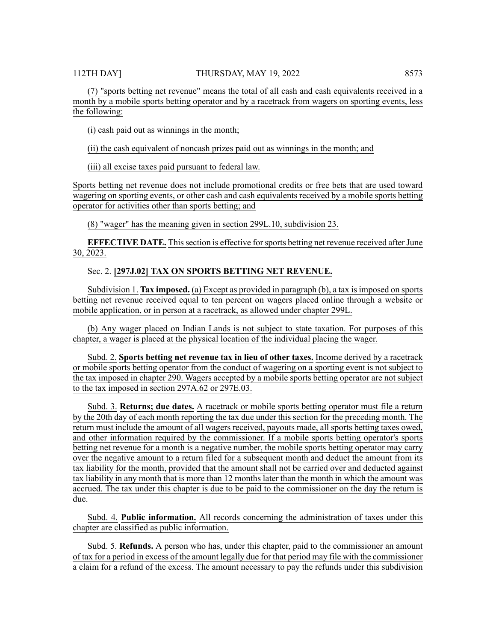(7) "sports betting net revenue" means the total of all cash and cash equivalents received in a month by a mobile sports betting operator and by a racetrack from wagers on sporting events, less the following:

(i) cash paid out as winnings in the month;

(ii) the cash equivalent of noncash prizes paid out as winnings in the month; and

(iii) all excise taxes paid pursuant to federal law.

Sports betting net revenue does not include promotional credits or free bets that are used toward wagering on sporting events, or other cash and cash equivalents received by a mobile sports betting operator for activities other than sports betting; and

(8) "wager" has the meaning given in section 299L.10, subdivision 23.

**EFFECTIVE DATE.** This section is effective for sports betting net revenue received after June 30, 2023.

# Sec. 2. **[297J.02] TAX ON SPORTS BETTING NET REVENUE.**

Subdivision 1. **Tax imposed.** (a) Except as provided in paragraph (b), a tax is imposed on sports betting net revenue received equal to ten percent on wagers placed online through a website or mobile application, or in person at a racetrack, as allowed under chapter 299L.

(b) Any wager placed on Indian Lands is not subject to state taxation. For purposes of this chapter, a wager is placed at the physical location of the individual placing the wager.

Subd. 2. **Sports betting net revenue tax in lieu of other taxes.** Income derived by a racetrack or mobile sports betting operator from the conduct of wagering on a sporting event is not subject to the tax imposed in chapter 290. Wagers accepted by a mobile sports betting operator are not subject to the tax imposed in section 297A.62 or 297E.03.

Subd. 3. **Returns; due dates.** A racetrack or mobile sports betting operator must file a return by the 20th day of each month reporting the tax due under this section for the preceding month. The return must include the amount of all wagers received, payouts made, all sports betting taxes owed, and other information required by the commissioner. If a mobile sports betting operator's sports betting net revenue for a month is a negative number, the mobile sports betting operator may carry over the negative amount to a return filed for a subsequent month and deduct the amount from its tax liability for the month, provided that the amount shall not be carried over and deducted against tax liability in any month that is more than 12 months later than the month in which the amount was accrued. The tax under this chapter is due to be paid to the commissioner on the day the return is due.

Subd. 4. **Public information.** All records concerning the administration of taxes under this chapter are classified as public information.

Subd. 5. **Refunds.** A person who has, under this chapter, paid to the commissioner an amount of tax for a period in excess of the amount legally due for that period may file with the commissioner a claim for a refund of the excess. The amount necessary to pay the refunds under this subdivision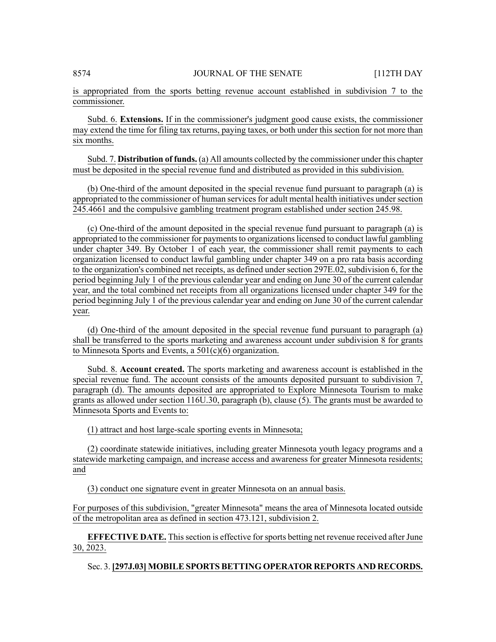is appropriated from the sports betting revenue account established in subdivision 7 to the commissioner.

Subd. 6. **Extensions.** If in the commissioner's judgment good cause exists, the commissioner may extend the time for filing tax returns, paying taxes, or both under this section for not more than six months.

Subd. 7. **Distribution of funds.** (a) All amounts collected by the commissioner under this chapter must be deposited in the special revenue fund and distributed as provided in this subdivision.

(b) One-third of the amount deposited in the special revenue fund pursuant to paragraph (a) is appropriated to the commissioner of human services for adult mental health initiatives under section 245.4661 and the compulsive gambling treatment program established under section 245.98.

(c) One-third of the amount deposited in the special revenue fund pursuant to paragraph (a) is appropriated to the commissioner for payments to organizations licensed to conduct lawful gambling under chapter 349. By October 1 of each year, the commissioner shall remit payments to each organization licensed to conduct lawful gambling under chapter 349 on a pro rata basis according to the organization's combined net receipts, as defined under section 297E.02, subdivision 6, for the period beginning July 1 of the previous calendar year and ending on June 30 of the current calendar year, and the total combined net receipts from all organizations licensed under chapter 349 for the period beginning July 1 of the previous calendar year and ending on June 30 of the current calendar year.

(d) One-third of the amount deposited in the special revenue fund pursuant to paragraph (a) shall be transferred to the sports marketing and awareness account under subdivision 8 for grants to Minnesota Sports and Events, a 501(c)(6) organization.

Subd. 8. **Account created.** The sports marketing and awareness account is established in the special revenue fund. The account consists of the amounts deposited pursuant to subdivision 7, paragraph (d). The amounts deposited are appropriated to Explore Minnesota Tourism to make grants as allowed under section 116U.30, paragraph (b), clause (5). The grants must be awarded to Minnesota Sports and Events to:

(1) attract and host large-scale sporting events in Minnesota;

(2) coordinate statewide initiatives, including greater Minnesota youth legacy programs and a statewide marketing campaign, and increase access and awareness for greater Minnesota residents; and

(3) conduct one signature event in greater Minnesota on an annual basis.

For purposes of this subdivision, "greater Minnesota" means the area of Minnesota located outside of the metropolitan area as defined in section 473.121, subdivision 2.

**EFFECTIVE DATE.** This section is effective for sports betting net revenue received after June 30, 2023.

# Sec. 3. **[297J.03] MOBILE SPORTS BETTING OPERATOR REPORTS AND RECORDS.**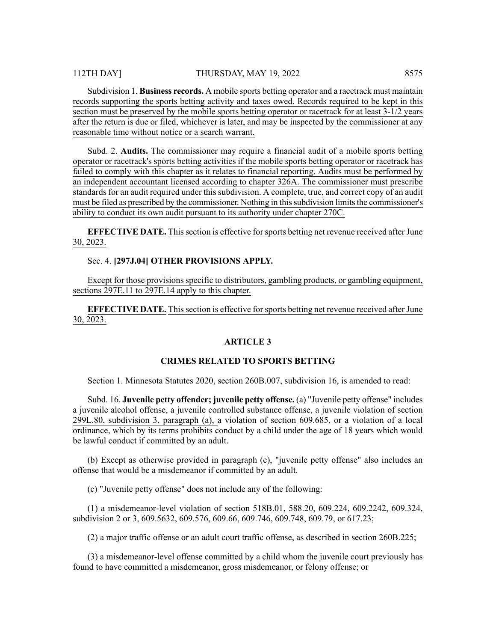Subdivision 1. **Business records.** A mobile sports betting operator and a racetrack must maintain records supporting the sports betting activity and taxes owed. Records required to be kept in this section must be preserved by the mobile sports betting operator or racetrack for at least 3-1/2 years after the return is due or filed, whichever is later, and may be inspected by the commissioner at any reasonable time without notice or a search warrant.

Subd. 2. **Audits.** The commissioner may require a financial audit of a mobile sports betting operator or racetrack's sports betting activities if the mobile sports betting operator or racetrack has failed to comply with this chapter as it relates to financial reporting. Audits must be performed by an independent accountant licensed according to chapter 326A. The commissioner must prescribe standards for an audit required under this subdivision. A complete, true, and correct copy of an audit must be filed as prescribed by the commissioner. Nothing in this subdivision limits the commissioner's ability to conduct its own audit pursuant to its authority under chapter 270C.

**EFFECTIVE DATE.** This section is effective for sports betting net revenue received after June 30, 2023.

Sec. 4. **[297J.04] OTHER PROVISIONS APPLY.**

Except for those provisions specific to distributors, gambling products, or gambling equipment, sections 297E.11 to 297E.14 apply to this chapter.

**EFFECTIVE DATE.** This section is effective for sports betting net revenue received after June 30, 2023.

#### **ARTICLE 3**

#### **CRIMES RELATED TO SPORTS BETTING**

Section 1. Minnesota Statutes 2020, section 260B.007, subdivision 16, is amended to read:

Subd. 16. **Juvenile petty offender; juvenile petty offense.** (a) "Juvenile petty offense" includes a juvenile alcohol offense, a juvenile controlled substance offense, a juvenile violation of section 299L.80, subdivision 3, paragraph (a), a violation of section 609.685, or a violation of a local ordinance, which by its terms prohibits conduct by a child under the age of 18 years which would be lawful conduct if committed by an adult.

(b) Except as otherwise provided in paragraph (c), "juvenile petty offense" also includes an offense that would be a misdemeanor if committed by an adult.

(c) "Juvenile petty offense" does not include any of the following:

(1) a misdemeanor-level violation of section 518B.01, 588.20, 609.224, 609.2242, 609.324, subdivision 2 or 3, 609.5632, 609.576, 609.66, 609.746, 609.748, 609.79, or 617.23;

(2) a major traffic offense or an adult court traffic offense, as described in section 260B.225;

(3) a misdemeanor-level offense committed by a child whom the juvenile court previously has found to have committed a misdemeanor, gross misdemeanor, or felony offense; or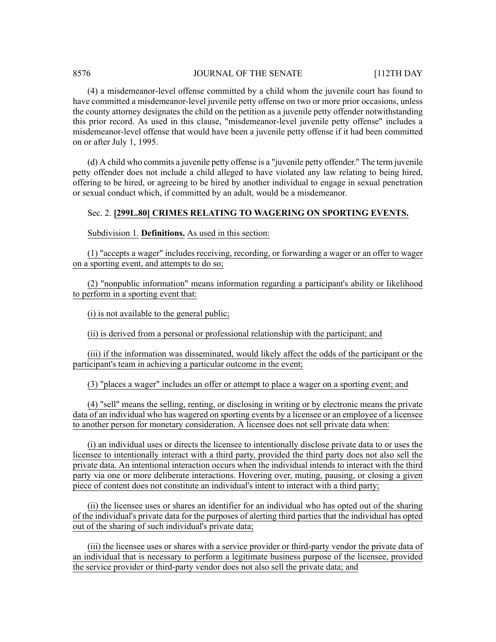# 8576 **JOURNAL OF THE SENATE** [112TH DAY

(4) a misdemeanor-level offense committed by a child whom the juvenile court has found to have committed a misdemeanor-level juvenile petty offense on two or more prior occasions, unless the county attorney designates the child on the petition as a juvenile petty offender notwithstanding this prior record. As used in this clause, "misdemeanor-level juvenile petty offense" includes a misdemeanor-level offense that would have been a juvenile petty offense if it had been committed on or after July 1, 1995.

(d) A child who commits a juvenile petty offense is a "juvenile petty offender." The term juvenile petty offender does not include a child alleged to have violated any law relating to being hired, offering to be hired, or agreeing to be hired by another individual to engage in sexual penetration or sexual conduct which, if committed by an adult, would be a misdemeanor.

### Sec. 2. **[299L.80] CRIMES RELATING TO WAGERING ON SPORTING EVENTS.**

Subdivision 1. **Definitions.** As used in this section:

(1) "accepts a wager" includes receiving, recording, or forwarding a wager or an offer to wager on a sporting event, and attempts to do so;

(2) "nonpublic information" means information regarding a participant's ability or likelihood to perform in a sporting event that:

(i) is not available to the general public;

(ii) is derived from a personal or professional relationship with the participant; and

(iii) if the information was disseminated, would likely affect the odds of the participant or the participant's team in achieving a particular outcome in the event;

(3) "places a wager" includes an offer or attempt to place a wager on a sporting event; and

(4) "sell" means the selling, renting, or disclosing in writing or by electronic means the private data of an individual who has wagered on sporting events by a licensee or an employee of a licensee to another person for monetary consideration. A licensee does not sell private data when:

(i) an individual uses or directs the licensee to intentionally disclose private data to or uses the licensee to intentionally interact with a third party, provided the third party does not also sell the private data. An intentional interaction occurs when the individual intends to interact with the third party via one or more deliberate interactions. Hovering over, muting, pausing, or closing a given piece of content does not constitute an individual's intent to interact with a third party;

(ii) the licensee uses or shares an identifier for an individual who has opted out of the sharing of the individual's private data for the purposes of alerting third parties that the individual has opted out of the sharing of such individual's private data;

(iii) the licensee uses or shares with a service provider or third-party vendor the private data of an individual that is necessary to perform a legitimate business purpose of the licensee, provided the service provider or third-party vendor does not also sell the private data; and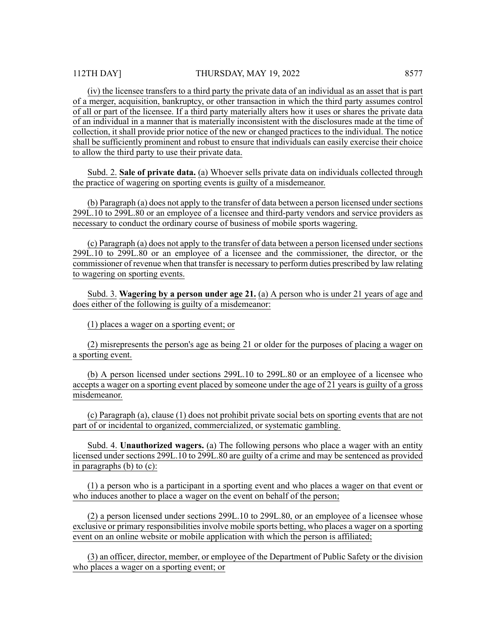(iv) the licensee transfers to a third party the private data of an individual as an asset that is part of a merger, acquisition, bankruptcy, or other transaction in which the third party assumes control of all or part of the licensee. If a third party materially alters how it uses or shares the private data of an individual in a manner that is materially inconsistent with the disclosures made at the time of collection, it shall provide prior notice of the new or changed practices to the individual. The notice shall be sufficiently prominent and robust to ensure that individuals can easily exercise their choice to allow the third party to use their private data.

Subd. 2. **Sale of private data.** (a) Whoever sells private data on individuals collected through the practice of wagering on sporting events is guilty of a misdemeanor.

(b) Paragraph (a) does not apply to the transfer of data between a person licensed under sections 299L.10 to 299L.80 or an employee of a licensee and third-party vendors and service providers as necessary to conduct the ordinary course of business of mobile sports wagering.

(c) Paragraph (a) does not apply to the transfer of data between a person licensed under sections 299L.10 to 299L.80 or an employee of a licensee and the commissioner, the director, or the commissioner of revenue when that transfer is necessary to perform duties prescribed by law relating to wagering on sporting events.

Subd. 3. **Wagering by a person under age 21.** (a) A person who is under 21 years of age and does either of the following is guilty of a misdemeanor:

(1) places a wager on a sporting event; or

(2) misrepresents the person's age as being 21 or older for the purposes of placing a wager on a sporting event.

(b) A person licensed under sections 299L.10 to 299L.80 or an employee of a licensee who accepts a wager on a sporting event placed by someone under the age of 21 years is guilty of a gross misdemeanor.

(c) Paragraph (a), clause (1) does not prohibit private social bets on sporting events that are not part of or incidental to organized, commercialized, or systematic gambling.

Subd. 4. **Unauthorized wagers.** (a) The following persons who place a wager with an entity licensed under sections 299L.10 to 299L.80 are guilty of a crime and may be sentenced as provided in paragraphs (b) to (c):

(1) a person who is a participant in a sporting event and who places a wager on that event or who induces another to place a wager on the event on behalf of the person;

(2) a person licensed under sections 299L.10 to 299L.80, or an employee of a licensee whose exclusive or primary responsibilities involve mobile sports betting, who places a wager on a sporting event on an online website or mobile application with which the person is affiliated;

(3) an officer, director, member, or employee of the Department of Public Safety or the division who places a wager on a sporting event; or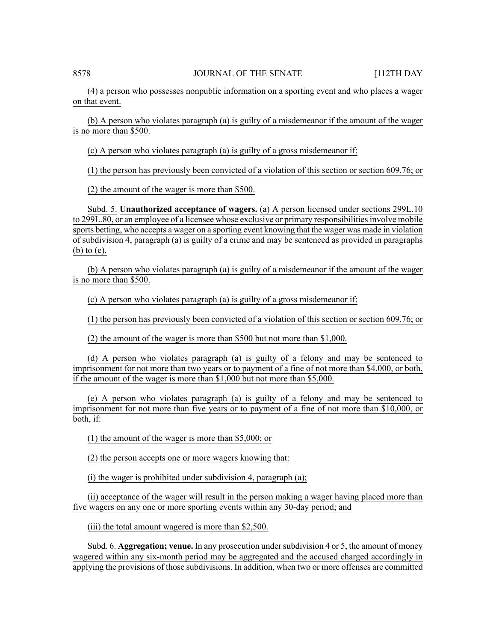(4) a person who possesses nonpublic information on a sporting event and who places a wager on that event.

(b) A person who violates paragraph (a) is guilty of a misdemeanor if the amount of the wager is no more than \$500.

(c) A person who violates paragraph (a) is guilty of a gross misdemeanor if:

(1) the person has previously been convicted of a violation of this section or section 609.76; or

(2) the amount of the wager is more than \$500.

Subd. 5. **Unauthorized acceptance of wagers.** (a) A person licensed under sections 299L.10 to 299L.80, or an employee of a licensee whose exclusive or primary responsibilities involve mobile sports betting, who accepts a wager on a sporting event knowing that the wager was made in violation of subdivision 4, paragraph (a) is guilty of a crime and may be sentenced as provided in paragraphs (b) to (e).

(b) A person who violates paragraph (a) is guilty of a misdemeanor if the amount of the wager is no more than \$500.

(c) A person who violates paragraph (a) is guilty of a gross misdemeanor if:

(1) the person has previously been convicted of a violation of this section or section 609.76; or

(2) the amount of the wager is more than \$500 but not more than \$1,000.

(d) A person who violates paragraph (a) is guilty of a felony and may be sentenced to imprisonment for not more than two years or to payment of a fine of not more than \$4,000, or both, if the amount of the wager is more than \$1,000 but not more than \$5,000.

(e) A person who violates paragraph (a) is guilty of a felony and may be sentenced to imprisonment for not more than five years or to payment of a fine of not more than \$10,000, or both, if:

(1) the amount of the wager is more than \$5,000; or

(2) the person accepts one or more wagers knowing that:

(i) the wager is prohibited under subdivision 4, paragraph (a);

(ii) acceptance of the wager will result in the person making a wager having placed more than five wagers on any one or more sporting events within any 30-day period; and

(iii) the total amount wagered is more than \$2,500.

Subd. 6. **Aggregation; venue.** In any prosecution undersubdivision 4 or 5, the amount of money wagered within any six-month period may be aggregated and the accused charged accordingly in applying the provisions of those subdivisions. In addition, when two or more offenses are committed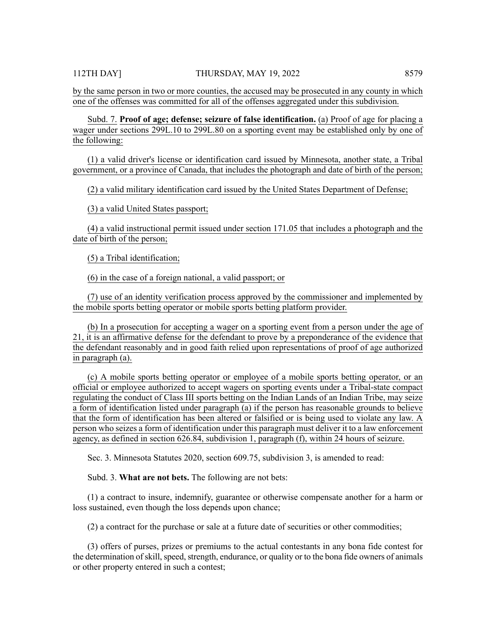by the same person in two or more counties, the accused may be prosecuted in any county in which one of the offenses was committed for all of the offenses aggregated under this subdivision.

Subd. 7. **Proof of age; defense; seizure of false identification.** (a) Proof of age for placing a wager under sections 299L.10 to 299L.80 on a sporting event may be established only by one of the following:

(1) a valid driver's license or identification card issued by Minnesota, another state, a Tribal government, or a province of Canada, that includes the photograph and date of birth of the person;

(2) a valid military identification card issued by the United States Department of Defense;

(3) a valid United States passport;

(4) a valid instructional permit issued under section 171.05 that includes a photograph and the date of birth of the person;

(5) a Tribal identification;

(6) in the case of a foreign national, a valid passport; or

(7) use of an identity verification process approved by the commissioner and implemented by the mobile sports betting operator or mobile sports betting platform provider.

(b) In a prosecution for accepting a wager on a sporting event from a person under the age of 21, it is an affirmative defense for the defendant to prove by a preponderance of the evidence that the defendant reasonably and in good faith relied upon representations of proof of age authorized in paragraph (a).

(c) A mobile sports betting operator or employee of a mobile sports betting operator, or an official or employee authorized to accept wagers on sporting events under a Tribal-state compact regulating the conduct of Class III sports betting on the Indian Lands of an Indian Tribe, may seize a form of identification listed under paragraph (a) if the person has reasonable grounds to believe that the form of identification has been altered or falsified or is being used to violate any law. A person who seizes a form of identification under this paragraph must deliver it to a law enforcement agency, as defined in section 626.84, subdivision 1, paragraph (f), within 24 hours of seizure.

Sec. 3. Minnesota Statutes 2020, section 609.75, subdivision 3, is amended to read:

Subd. 3. **What are not bets.** The following are not bets:

(1) a contract to insure, indemnify, guarantee or otherwise compensate another for a harm or loss sustained, even though the loss depends upon chance;

 $(2)$  a contract for the purchase or sale at a future date of securities or other commodities;

(3) offers of purses, prizes or premiums to the actual contestants in any bona fide contest for the determination of skill, speed, strength, endurance, or quality or to the bona fide owners of animals or other property entered in such a contest;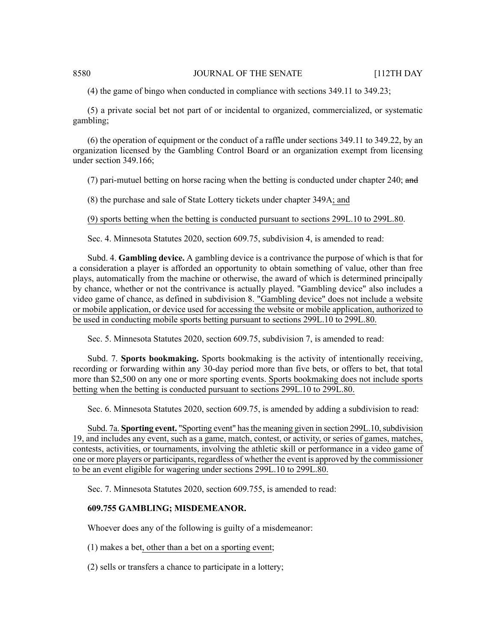### 8580 JOURNAL OF THE SENATE [112TH DAY

(4) the game of bingo when conducted in compliance with sections 349.11 to 349.23;

(5) a private social bet not part of or incidental to organized, commercialized, or systematic gambling;

(6) the operation of equipment or the conduct of a raffle under sections 349.11 to 349.22, by an organization licensed by the Gambling Control Board or an organization exempt from licensing under section 349.166;

(7) pari-mutuel betting on horse racing when the betting is conducted under chapter 240; and

(8) the purchase and sale of State Lottery tickets under chapter 349A; and

(9) sports betting when the betting is conducted pursuant to sections 299L.10 to 299L.80.

Sec. 4. Minnesota Statutes 2020, section 609.75, subdivision 4, is amended to read:

Subd. 4. **Gambling device.** A gambling device is a contrivance the purpose of which is that for a consideration a player is afforded an opportunity to obtain something of value, other than free plays, automatically from the machine or otherwise, the award of which is determined principally by chance, whether or not the contrivance is actually played. "Gambling device" also includes a video game of chance, as defined in subdivision 8. "Gambling device" does not include a website or mobile application, or device used for accessing the website or mobile application, authorized to be used in conducting mobile sports betting pursuant to sections 299L.10 to 299L.80.

Sec. 5. Minnesota Statutes 2020, section 609.75, subdivision 7, is amended to read:

Subd. 7. **Sports bookmaking.** Sports bookmaking is the activity of intentionally receiving, recording or forwarding within any 30-day period more than five bets, or offers to bet, that total more than \$2,500 on any one or more sporting events. Sports bookmaking does not include sports betting when the betting is conducted pursuant to sections 299L.10 to 299L.80.

Sec. 6. Minnesota Statutes 2020, section 609.75, is amended by adding a subdivision to read:

Subd. 7a. **Sporting event.** "Sporting event" has the meaning given in section 299L.10, subdivision 19, and includes any event, such as a game, match, contest, or activity, or series of games, matches, contests, activities, or tournaments, involving the athletic skill or performance in a video game of one or more players or participants, regardless of whether the event is approved by the commissioner to be an event eligible for wagering under sections 299L.10 to 299L.80.

Sec. 7. Minnesota Statutes 2020, section 609.755, is amended to read:

# **609.755 GAMBLING; MISDEMEANOR.**

Whoever does any of the following is guilty of a misdemeanor:

- (1) makes a bet, other than a bet on a sporting event;
- (2) sells or transfers a chance to participate in a lottery;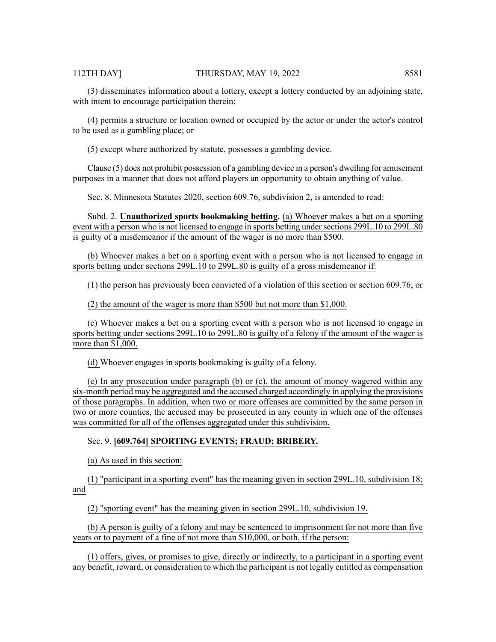(3) disseminates information about a lottery, except a lottery conducted by an adjoining state, with intent to encourage participation therein;

(4) permits a structure or location owned or occupied by the actor or under the actor's control to be used as a gambling place; or

(5) except where authorized by statute, possesses a gambling device.

Clause (5) does not prohibit possession of a gambling device in a person's dwelling for amusement purposes in a manner that does not afford players an opportunity to obtain anything of value.

Sec. 8. Minnesota Statutes 2020, section 609.76, subdivision 2, is amended to read:

Subd. 2. **Unauthorized sports bookmaking betting.** (a) Whoever makes a bet on a sporting event with a person who is not licensed to engage in sports betting under sections 299L.10 to 299L.80 is guilty of a misdemeanor if the amount of the wager is no more than \$500.

(b) Whoever makes a bet on a sporting event with a person who is not licensed to engage in sports betting under sections 299L.10 to 299L.80 is guilty of a gross misdemeanor if:

(1) the person has previously been convicted of a violation of this section or section 609.76; or

(2) the amount of the wager is more than \$500 but not more than \$1,000.

(c) Whoever makes a bet on a sporting event with a person who is not licensed to engage in sports betting under sections 299L.10 to 299L.80 is guilty of a felony if the amount of the wager is more than \$1,000.

(d) Whoever engages in sports bookmaking is guilty of a felony.

(e) In any prosecution under paragraph (b) or (c), the amount of money wagered within any six-month period may be aggregated and the accused charged accordingly in applying the provisions of those paragraphs. In addition, when two or more offenses are committed by the same person in two or more counties, the accused may be prosecuted in any county in which one of the offenses was committed for all of the offenses aggregated under this subdivision.

# Sec. 9. **[609.764] SPORTING EVENTS; FRAUD; BRIBERY.**

(a) As used in this section:

(1) "participant in a sporting event" has the meaning given in section 299L.10, subdivision 18; and

(2) "sporting event" has the meaning given in section 299L.10, subdivision 19.

(b) A person is guilty of a felony and may be sentenced to imprisonment for not more than five years or to payment of a fine of not more than \$10,000, or both, if the person:

(1) offers, gives, or promises to give, directly or indirectly, to a participant in a sporting event any benefit, reward, or consideration to which the participant is not legally entitled as compensation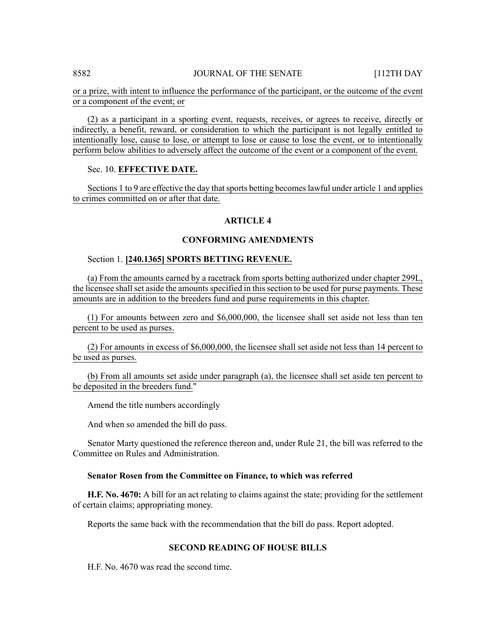### 8582 JOURNAL OF THE SENATE [112TH DAY

or a prize, with intent to influence the performance of the participant, or the outcome of the event or a component of the event; or

(2) as a participant in a sporting event, requests, receives, or agrees to receive, directly or indirectly, a benefit, reward, or consideration to which the participant is not legally entitled to intentionally lose, cause to lose, or attempt to lose or cause to lose the event, or to intentionally perform below abilities to adversely affect the outcome of the event or a component of the event.

# Sec. 10. **EFFECTIVE DATE.**

Sections 1 to 9 are effective the day that sports betting becomes lawful under article 1 and applies to crimes committed on or after that date.

### **ARTICLE 4**

#### **CONFORMING AMENDMENTS**

#### Section 1. **[240.1365] SPORTS BETTING REVENUE.**

(a) From the amounts earned by a racetrack from sports betting authorized under chapter 299L, the licensee shall set aside the amounts specified in this section to be used for purse payments. These amounts are in addition to the breeders fund and purse requirements in this chapter.

(1) For amounts between zero and \$6,000,000, the licensee shall set aside not less than ten percent to be used as purses.

(2) For amounts in excess of \$6,000,000, the licensee shall set aside not less than 14 percent to be used as purses.

(b) From all amounts set aside under paragraph (a), the licensee shall set aside ten percent to be deposited in the breeders fund."

Amend the title numbers accordingly

And when so amended the bill do pass.

Senator Marty questioned the reference thereon and, under Rule 21, the bill was referred to the Committee on Rules and Administration.

#### **Senator Rosen from the Committee on Finance, to which was referred**

**H.F. No. 4670:** A bill for an act relating to claims against the state; providing for the settlement of certain claims; appropriating money.

Reports the same back with the recommendation that the bill do pass. Report adopted.

# **SECOND READING OF HOUSE BILLS**

H.F. No. 4670 was read the second time.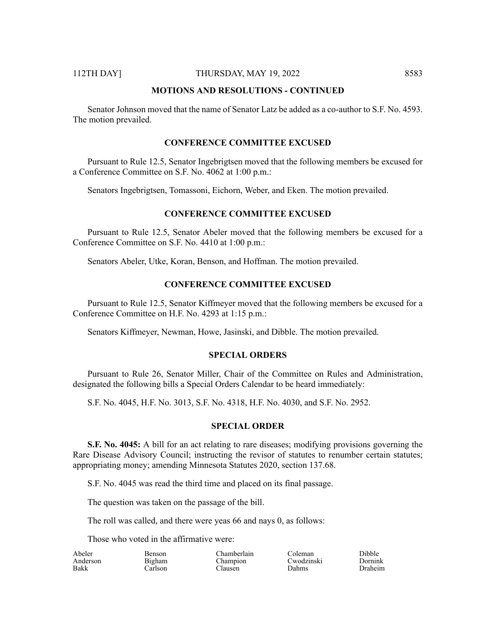#### 112TH DAY] THURSDAY, MAY 19, 2022 8583

#### **MOTIONS AND RESOLUTIONS - CONTINUED**

Senator Johnson moved that the name of Senator Latz be added as a co-author to S.F. No. 4593. The motion prevailed.

# **CONFERENCE COMMITTEE EXCUSED**

Pursuant to Rule 12.5, Senator Ingebrigtsen moved that the following members be excused for a Conference Committee on S.F. No. 4062 at 1:00 p.m.:

Senators Ingebrigtsen, Tomassoni, Eichorn, Weber, and Eken. The motion prevailed.

# **CONFERENCE COMMITTEE EXCUSED**

Pursuant to Rule 12.5, Senator Abeler moved that the following members be excused for a Conference Committee on S.F. No. 4410 at 1:00 p.m.:

Senators Abeler, Utke, Koran, Benson, and Hoffman. The motion prevailed.

#### **CONFERENCE COMMITTEE EXCUSED**

Pursuant to Rule 12.5, Senator Kiffmeyer moved that the following members be excused for a Conference Committee on H.F. No. 4293 at 1:15 p.m.:

Senators Kiffmeyer, Newman, Howe, Jasinski, and Dibble. The motion prevailed.

#### **SPECIAL ORDERS**

Pursuant to Rule 26, Senator Miller, Chair of the Committee on Rules and Administration, designated the following bills a Special Orders Calendar to be heard immediately:

S.F. No. 4045, H.F. No. 3013, S.F. No. 4318, H.F. No. 4030, and S.F. No. 2952.

### **SPECIAL ORDER**

**S.F. No. 4045:** A bill for an act relating to rare diseases; modifying provisions governing the Rare Disease Advisory Council; instructing the revisor of statutes to renumber certain statutes; appropriating money; amending Minnesota Statutes 2020, section 137.68.

S.F. No. 4045 was read the third time and placed on its final passage.

The question was taken on the passage of the bill.

The roll was called, and there were yeas 66 and nays 0, as follows:

Those who voted in the affirmative were:

| Abeler   | Benson  | <b>Thamberlain</b> | ∩oleman ∶    | Dibble  |
|----------|---------|--------------------|--------------|---------|
| Anderson | Bigham  | Champion           | Cwodzinski   | Dornink |
| Bakk     | `arlson | `lausen            | <b>Dahms</b> | Draheim |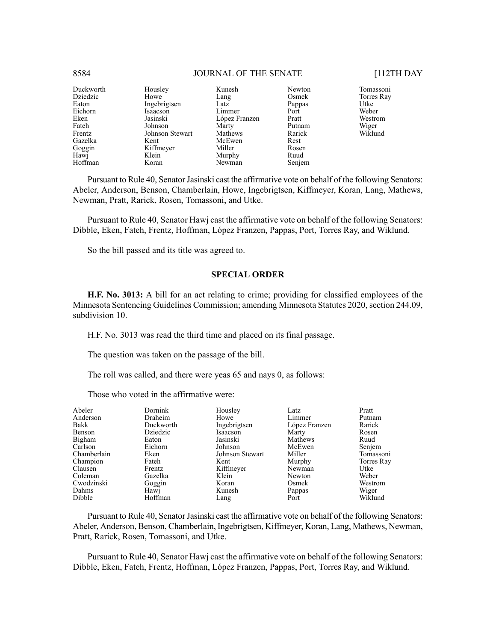| Duckworth | Housley         | Kunesh        | Newton |
|-----------|-----------------|---------------|--------|
| Dziedzic  | Howe            | Lang          | Osmek  |
| Eaton     | Ingebrigtsen    | Latz          | Pappas |
| Eichorn   | Isaacson        | Limmer        | Port   |
| Eken      | Jasinski        | López Franzen | Pratt  |
| Fateh     | Johnson         | Marty         | Putnam |
| Frentz    | Johnson Stewart | Mathews       | Rarick |
| Gazelka   | Kent            | McEwen        | Rest   |
| Goggin    | Kiffmeyer       | Miller        | Rosen  |
| Hawj      | Klein           | Murphy        | Ruud   |
| Hoffman   | Koran           | Newman        | Senjem |

Tomassoni Torres Ray Utke Weber Westrom Wiger Wiklund

Pursuant to Rule 40, Senator Jasinski cast the affirmative vote on behalf of the following Senators: Abeler, Anderson, Benson, Chamberlain, Howe, Ingebrigtsen, Kiffmeyer, Koran, Lang, Mathews, Newman, Pratt, Rarick, Rosen, Tomassoni, and Utke.

Pursuant to Rule 40, Senator Hawj cast the affirmative vote on behalf of the following Senators: Dibble, Eken, Fateh, Frentz, Hoffman, López Franzen, Pappas, Port, Torres Ray, and Wiklund.

So the bill passed and its title was agreed to.

#### **SPECIAL ORDER**

**H.F. No. 3013:** A bill for an act relating to crime; providing for classified employees of the Minnesota Sentencing Guidelines Commission; amending Minnesota Statutes 2020, section 244.09, subdivision 10.

H.F. No. 3013 was read the third time and placed on its final passage.

The question was taken on the passage of the bill.

The roll was called, and there were yeas 65 and nays 0, as follows:

Those who voted in the affirmative were:

| Abeler      | Dornink   | Housley         | Latz          | Pratt      |
|-------------|-----------|-----------------|---------------|------------|
| Anderson    | Draheim   | Howe            | Limmer        | Putnam     |
| Bakk        | Duckworth | Ingebrigtsen    | López Franzen | Rarick     |
| Benson      | Dziedzic  | Isaacson        | Marty         | Rosen      |
| Bigham      | Eaton     | Jasinski        | Mathews       | Ruud       |
| Carlson     | Eichorn   | Johnson         | McEwen        | Senjem     |
| Chamberlain | Eken      | Johnson Stewart | Miller        | Tomassoni  |
| Champion    | Fateh     | Kent            | Murphy        | Torres Ray |
| Clausen     | Frentz    | Kiffmeyer       | Newman        | Utke       |
| Coleman     | Gazelka   | Klein           | Newton        | Weber      |
| Cwodzinski  | Goggin    | Koran           | Osmek         | Westrom    |
| Dahms       | Hawj      | Kunesh          | Pappas        | Wiger      |
| Dibble      | Hoffman   | Lang            | Port          | Wiklund    |

Pursuant to Rule 40, Senator Jasinski cast the affirmative vote on behalf of the following Senators: Abeler, Anderson, Benson, Chamberlain, Ingebrigtsen, Kiffmeyer, Koran, Lang, Mathews, Newman, Pratt, Rarick, Rosen, Tomassoni, and Utke.

Pursuant to Rule 40, Senator Hawj cast the affirmative vote on behalf of the following Senators: Dibble, Eken, Fateh, Frentz, Hoffman, López Franzen, Pappas, Port, Torres Ray, and Wiklund.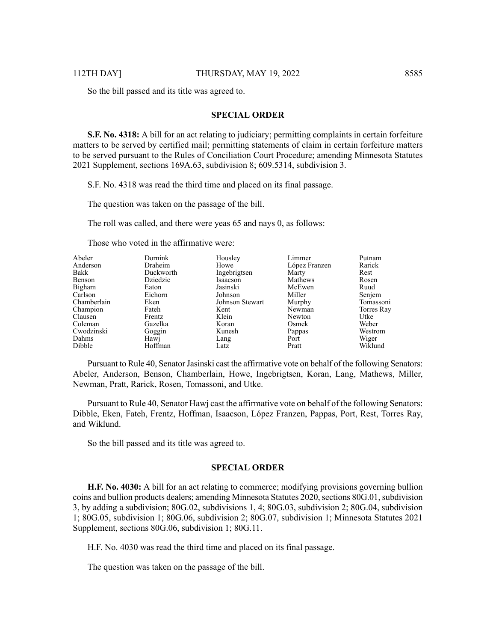So the bill passed and its title was agreed to.

#### **SPECIAL ORDER**

**S.F. No. 4318:** A bill for an act relating to judiciary; permitting complaints in certain forfeiture matters to be served by certified mail; permitting statements of claim in certain forfeiture matters to be served pursuant to the Rules of Conciliation Court Procedure; amending Minnesota Statutes 2021 Supplement, sections 169A.63, subdivision 8; 609.5314, subdivision 3.

S.F. No. 4318 was read the third time and placed on its final passage.

The question was taken on the passage of the bill.

The roll was called, and there were yeas 65 and nays 0, as follows:

Those who voted in the affirmative were:

| Abeler      | Dornink   | Housley         | Limmer        | Putnam     |
|-------------|-----------|-----------------|---------------|------------|
| Anderson    | Draheim   | Howe            | López Franzen | Rarick     |
| Bakk        | Duckworth | Ingebrigtsen    | Marty         | Rest       |
| Benson      | Dziedzic  | Isaacson        | Mathews       | Rosen      |
| Bigham      | Eaton     | Jasinski        | McEwen        | Ruud       |
| Carlson     | Eichorn   | Johnson         | Miller        | Senjem     |
| Chamberlain | Eken      | Johnson Stewart | Murphy        | Tomassoni  |
| Champion    | Fateh     | Kent            | Newman        | Torres Ray |
| Clausen     | Frentz    | Klein           | Newton        | Utke       |
| Coleman     | Gazelka   | Koran           | Osmek         | Weber      |
| Cwodzinski  | Goggin    | Kunesh          | Pappas        | Westrom    |
| Dahms       | Hawj      | Lang            | Port          | Wiger      |
| Dibble      | Hoffman   | Latz            | Pratt         | Wiklund    |

Pursuant to Rule 40, Senator Jasinski cast the affirmative vote on behalf of the following Senators: Abeler, Anderson, Benson, Chamberlain, Howe, Ingebrigtsen, Koran, Lang, Mathews, Miller, Newman, Pratt, Rarick, Rosen, Tomassoni, and Utke.

Pursuant to Rule 40, Senator Hawj cast the affirmative vote on behalf of the following Senators: Dibble, Eken, Fateh, Frentz, Hoffman, Isaacson, López Franzen, Pappas, Port, Rest, Torres Ray, and Wiklund.

So the bill passed and its title was agreed to.

### **SPECIAL ORDER**

**H.F. No. 4030:** A bill for an act relating to commerce; modifying provisions governing bullion coins and bullion products dealers; amending Minnesota Statutes 2020, sections 80G.01, subdivision 3, by adding a subdivision; 80G.02, subdivisions 1, 4; 80G.03, subdivision 2; 80G.04, subdivision 1; 80G.05, subdivision 1; 80G.06, subdivision 2; 80G.07, subdivision 1; Minnesota Statutes 2021 Supplement, sections 80G.06, subdivision 1; 80G.11.

H.F. No. 4030 was read the third time and placed on its final passage.

The question was taken on the passage of the bill.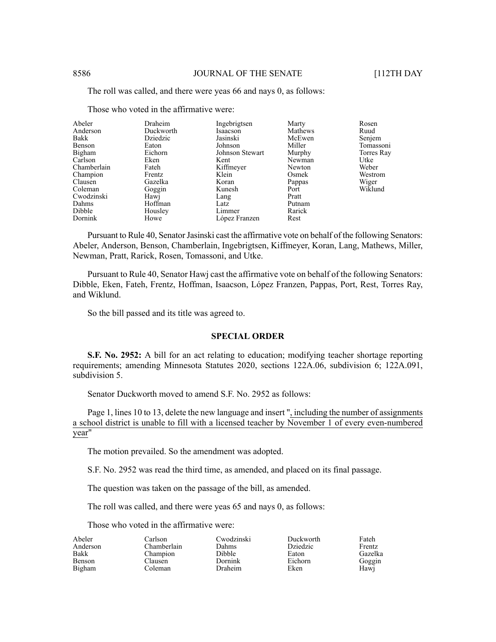The roll was called, and there were yeas 66 and nays 0, as follows:

| Abeler      | Draheim   | Ingebrigtsen    | Marty   | Rosen      |
|-------------|-----------|-----------------|---------|------------|
| Anderson    | Duckworth | Isaacson        | Mathews | Ruud       |
| Bakk        | Dziedzic  | Jasinski        | McEwen  | Senjem     |
| Benson      | Eaton     | Johnson         | Miller  | Tomassoni  |
| Bigham      | Eichorn   | Johnson Stewart | Murphy  | Torres Ray |
| Carlson     | Eken      | Kent            | Newman  | Utke       |
| Chamberlain | Fateh     | Kiffmeyer       | Newton  | Weber      |
| Champion    | Frentz    | Klein           | Osmek   | Westrom    |
| Clausen     | Gazelka   | Koran           | Pappas  | Wiger      |
| Coleman     | Goggin    | Kunesh          | Port    | Wiklund    |
| Cwodzinski  | Hawj      | Lang            | Pratt   |            |
| Dahms       | Hoffman   | Latz            | Putnam  |            |
| Dibble      | Housley   | Limmer          | Rarick  |            |
| Dornink     | Howe      | López Franzen   | Rest    |            |

Those who voted in the affirmative were:

Pursuant to Rule 40, Senator Jasinski cast the affirmative vote on behalf of the following Senators: Abeler, Anderson, Benson, Chamberlain, Ingebrigtsen, Kiffmeyer, Koran, Lang, Mathews, Miller, Newman, Pratt, Rarick, Rosen, Tomassoni, and Utke.

Pursuant to Rule 40, Senator Hawj cast the affirmative vote on behalf of the following Senators: Dibble, Eken, Fateh, Frentz, Hoffman, Isaacson, López Franzen, Pappas, Port, Rest, Torres Ray, and Wiklund.

So the bill passed and its title was agreed to.

### **SPECIAL ORDER**

**S.F. No. 2952:** A bill for an act relating to education; modifying teacher shortage reporting requirements; amending Minnesota Statutes 2020, sections 122A.06, subdivision 6; 122A.091, subdivision 5.

Senator Duckworth moved to amend S.F. No. 2952 as follows:

Page 1, lines 10 to 13, delete the new language and insert ", including the number of assignments a school district is unable to fill with a licensed teacher by November 1 of every even-numbered year"

The motion prevailed. So the amendment was adopted.

S.F. No. 2952 was read the third time, as amended, and placed on its final passage.

Dahms Dibble Dornink Draheim

The question was taken on the passage of the bill, as amended.

The roll was called, and there were yeas 65 and nays 0, as follows:

Those who voted in the affirmative were:

Abeler Anderson Bakk Benson Bigham

Carlson Chamberlain Champion Clausen Coleman

Cwodzinski

Duckworth Dziedzic Eaton Eichorn Eken

Fateh Frentz Gazelka Goggin Hawj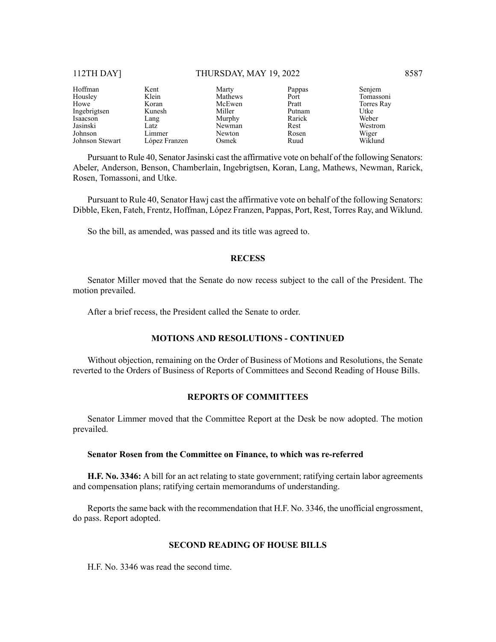#### 112TH DAY] THURSDAY, MAY 19, 2022 8587

| Hoffman         | Kent          | Marty   | Pappas | Senjem     |
|-----------------|---------------|---------|--------|------------|
| Housley         | Klein         | Mathews | Port   | Tomassoni  |
| Howe            | Koran         | McEwen  | Pratt  | Torres Ray |
| Ingebrigtsen    | Kunesh        | Miller  | Putnam | Utke       |
| Isaacson        | Lang          | Murphy  | Rarick | Weber      |
| Jasinski        | Latz          | Newman  | Rest   | Westrom    |
| Johnson         | Limmer        | Newton  | Rosen  | Wiger      |
| Johnson Stewart | López Franzen | Osmek   | Ruud   | Wiklund    |

Pursuant to Rule 40, Senator Jasinski cast the affirmative vote on behalf of the following Senators: Abeler, Anderson, Benson, Chamberlain, Ingebrigtsen, Koran, Lang, Mathews, Newman, Rarick, Rosen, Tomassoni, and Utke.

Pursuant to Rule 40, Senator Hawj cast the affirmative vote on behalf of the following Senators: Dibble, Eken, Fateh, Frentz, Hoffman, López Franzen, Pappas, Port, Rest, Torres Ray, and Wiklund.

So the bill, as amended, was passed and its title was agreed to.

#### **RECESS**

Senator Miller moved that the Senate do now recess subject to the call of the President. The motion prevailed.

After a brief recess, the President called the Senate to order.

# **MOTIONS AND RESOLUTIONS - CONTINUED**

Without objection, remaining on the Order of Business of Motions and Resolutions, the Senate reverted to the Orders of Business of Reports of Committees and Second Reading of House Bills.

# **REPORTS OF COMMITTEES**

Senator Limmer moved that the Committee Report at the Desk be now adopted. The motion prevailed.

# **Senator Rosen from the Committee on Finance, to which was re-referred**

**H.F. No. 3346:** A bill for an act relating to state government; ratifying certain labor agreements and compensation plans; ratifying certain memorandums of understanding.

Reports the same back with the recommendation that H.F. No. 3346, the unofficial engrossment, do pass. Report adopted.

# **SECOND READING OF HOUSE BILLS**

H.F. No. 3346 was read the second time.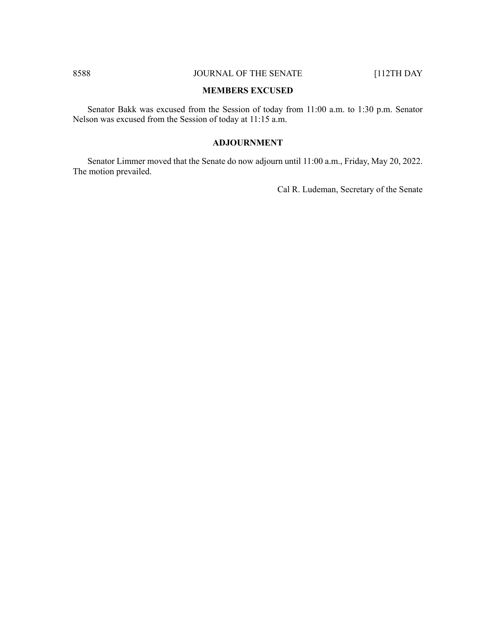# 8588 JOURNAL OF THE SENATE [112TH DAY

#### **MEMBERS EXCUSED**

Senator Bakk was excused from the Session of today from 11:00 a.m. to 1:30 p.m. Senator Nelson was excused from the Session of today at 11:15 a.m.

# **ADJOURNMENT**

Senator Limmer moved that the Senate do now adjourn until 11:00 a.m., Friday, May 20, 2022. The motion prevailed.

Cal R. Ludeman, Secretary of the Senate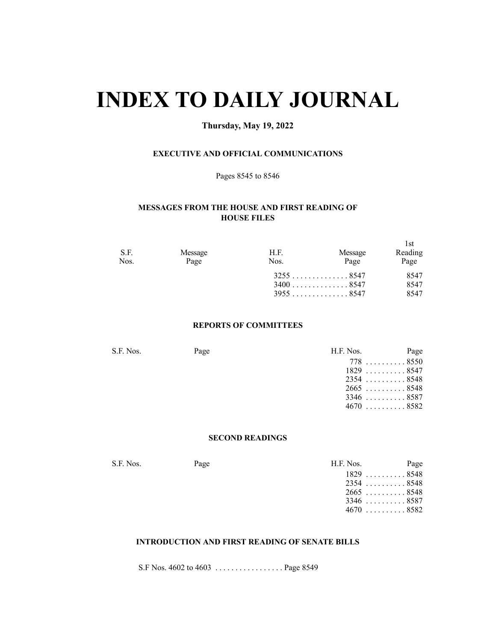# **INDEX TO DAILY JOURNAL**

# **Thursday, May 19, 2022**

# **EXECUTIVE AND OFFICIAL COMMUNICATIONS**

Pages 8545 to 8546

# **MESSAGES FROM THE HOUSE AND FIRST READING OF HOUSE FILES**

| S.F.<br>Nos. | Message<br>Page | H.F.<br>Nos. | Message<br>Page            | -l st<br>Reading<br>Page |
|--------------|-----------------|--------------|----------------------------|--------------------------|
|              |                 |              | $3255$ 8547<br>$3400$ 8547 | 8547<br>8547             |
|              |                 |              | 39558547                   | 8547                     |

# **REPORTS OF COMMITTEES**

| S.F. Nos. | Page | H.F. Nos. | Page               |
|-----------|------|-----------|--------------------|
|           |      |           | $778$ 8550         |
|           |      |           | $1829 \ldots 8547$ |
|           |      |           | $2354$ 8548        |
|           |      |           | $2665$ 8548        |
|           |      |           | $3346$ 8587        |
|           |      |           | $4670$ 8582        |
|           |      |           |                    |

# **SECOND READINGS**

S.F. Nos. Page H.F. Nos. Page H.F. Nos. Page H.F. Nos. Page H.F. Nos. 2014

| I.F. Nos. |               | Page |
|-----------|---------------|------|
|           | $1829$ $8548$ |      |
|           | $2354$ 8548   |      |
|           | $2665$ 8548   |      |
|           | $3346$ 8587   |      |
|           | $4670$ 8582   |      |
|           |               |      |

# **INTRODUCTION AND FIRST READING OF SENATE BILLS**

S.F Nos. 4602 to 4603 . . . . . . . . . . . . . . . . . Page 8549